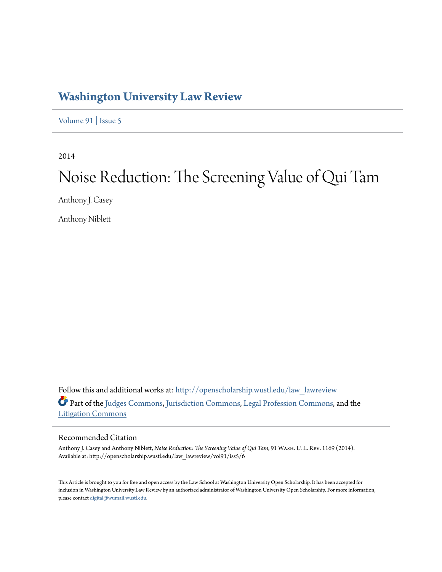# **[Washington University Law Review](http://openscholarship.wustl.edu/law_lawreview?utm_source=openscholarship.wustl.edu%2Flaw_lawreview%2Fvol91%2Fiss5%2F6&utm_medium=PDF&utm_campaign=PDFCoverPages)**

[Volume 91](http://openscholarship.wustl.edu/law_lawreview/vol91?utm_source=openscholarship.wustl.edu%2Flaw_lawreview%2Fvol91%2Fiss5%2F6&utm_medium=PDF&utm_campaign=PDFCoverPages) | [Issue 5](http://openscholarship.wustl.edu/law_lawreview/vol91/iss5?utm_source=openscholarship.wustl.edu%2Flaw_lawreview%2Fvol91%2Fiss5%2F6&utm_medium=PDF&utm_campaign=PDFCoverPages)

2014

# Noise Reduction: The Screening Value of Qui Tam

Anthony J. Casey

Anthony Niblett

Follow this and additional works at: [http://openscholarship.wustl.edu/law\\_lawreview](http://openscholarship.wustl.edu/law_lawreview?utm_source=openscholarship.wustl.edu%2Flaw_lawreview%2Fvol91%2Fiss5%2F6&utm_medium=PDF&utm_campaign=PDFCoverPages) Part of the [Judges Commons](http://network.bepress.com/hgg/discipline/849?utm_source=openscholarship.wustl.edu%2Flaw_lawreview%2Fvol91%2Fiss5%2F6&utm_medium=PDF&utm_campaign=PDFCoverPages), [Jurisdiction Commons,](http://network.bepress.com/hgg/discipline/850?utm_source=openscholarship.wustl.edu%2Flaw_lawreview%2Fvol91%2Fiss5%2F6&utm_medium=PDF&utm_campaign=PDFCoverPages) [Legal Profession Commons](http://network.bepress.com/hgg/discipline/1075?utm_source=openscholarship.wustl.edu%2Flaw_lawreview%2Fvol91%2Fiss5%2F6&utm_medium=PDF&utm_campaign=PDFCoverPages), and the [Litigation Commons](http://network.bepress.com/hgg/discipline/910?utm_source=openscholarship.wustl.edu%2Flaw_lawreview%2Fvol91%2Fiss5%2F6&utm_medium=PDF&utm_campaign=PDFCoverPages)

# Recommended Citation

Anthony J. Casey and Anthony Niblett, *Noise Reduction: The Screening Value of Qui Tam*, 91 Wash. U. L. Rev. 1169 (2014). Available at: http://openscholarship.wustl.edu/law\_lawreview/vol91/iss5/6

This Article is brought to you for free and open access by the Law School at Washington University Open Scholarship. It has been accepted for inclusion in Washington University Law Review by an authorized administrator of Washington University Open Scholarship. For more information, please contact [digital@wumail.wustl.edu.](mailto:digital@wumail.wustl.edu)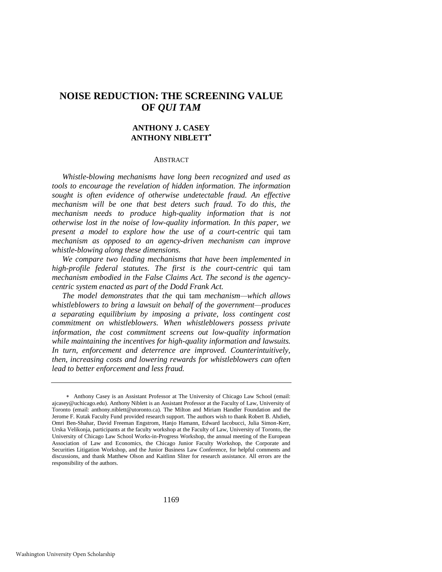# **NOISE REDUCTION: THE SCREENING VALUE OF** *QUI TAM*

# **ANTHONY J. CASEY ANTHONY NIBLETT**

#### ABSTRACT

*Whistle-blowing mechanisms have long been recognized and used as tools to encourage the revelation of hidden information. The information sought is often evidence of otherwise undetectable fraud. An effective mechanism will be one that best deters such fraud. To do this, the mechanism needs to produce high-quality information that is not otherwise lost in the noise of low-quality information. In this paper, we present a model to explore how the use of a court-centric* qui tam *mechanism as opposed to an agency-driven mechanism can improve whistle-blowing along these dimensions.* 

*We compare two leading mechanisms that have been implemented in high-profile federal statutes. The first is the court-centric* qui tam *mechanism embodied in the False Claims Act. The second is the agencycentric system enacted as part of the Dodd Frank Act.* 

*The model demonstrates that the* qui tam *mechanism—which allows whistleblowers to bring a lawsuit on behalf of the government—produces a separating equilibrium by imposing a private, loss contingent cost commitment on whistleblowers. When whistleblowers possess private information, the cost commitment screens out low-quality information while maintaining the incentives for high-quality information and lawsuits. In turn, enforcement and deterrence are improved. Counterintuitively, then, increasing costs and lowering rewards for whistleblowers can often lead to better enforcement and less fraud.* 

Anthony Casey is an Assistant Professor at The University of Chicago Law School (email: ajcasey@uchicago.edu). Anthony Niblett is an Assistant Professor at the Faculty of Law, University of Toronto (email: anthony.niblett@utoronto.ca). The Milton and Miriam Handler Foundation and the Jerome F. Kutak Faculty Fund provided research support. The authors wish to thank Robert B. Ahdieh, Omri Ben-Shahar, David Freeman Engstrom, Hanjo Hamann, Edward Iacobucci, Julia Simon-Kerr, Urska Velikonja, participants at the faculty workshop at the Faculty of Law, University of Toronto, the University of Chicago Law School Works-in-Progress Workshop, the annual meeting of the European Association of Law and Economics, the Chicago Junior Faculty Workshop, the Corporate and Securities Litigation Workshop, and the Junior Business Law Conference, for helpful comments and discussions, and thank Matthew Olson and Kaitlinn Sliter for research assistance. All errors are the responsibility of the authors.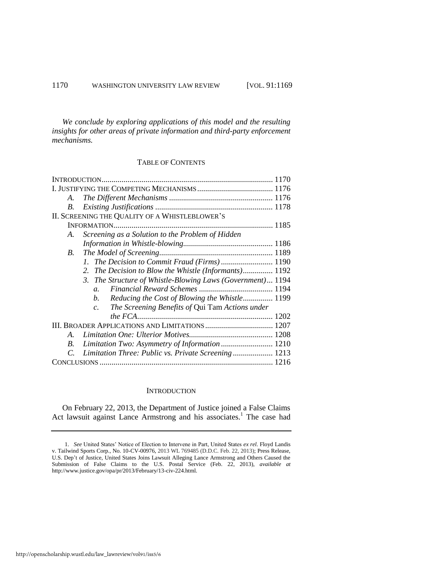*We conclude by exploring applications of this model and the resulting insights for other areas of private information and third-party enforcement mechanisms.* 

# TABLE OF CONTENTS

| A.                                                             |  |  |  |  |  |
|----------------------------------------------------------------|--|--|--|--|--|
| В.                                                             |  |  |  |  |  |
| II. SCREENING THE QUALITY OF A WHISTLEBLOWER'S                 |  |  |  |  |  |
|                                                                |  |  |  |  |  |
| Screening as a Solution to the Problem of Hidden<br>A.         |  |  |  |  |  |
|                                                                |  |  |  |  |  |
| B.                                                             |  |  |  |  |  |
|                                                                |  |  |  |  |  |
| The Decision to Blow the Whistle (Informants) 1192<br>2.       |  |  |  |  |  |
| 3. The Structure of Whistle-Blowing Laws (Government) 1194     |  |  |  |  |  |
| $a_{-}$                                                        |  |  |  |  |  |
| Reducing the Cost of Blowing the Whistle 1199<br>b.            |  |  |  |  |  |
| The Screening Benefits of Qui Tam Actions under<br>$c_{\cdot}$ |  |  |  |  |  |
|                                                                |  |  |  |  |  |
|                                                                |  |  |  |  |  |
| A.                                                             |  |  |  |  |  |
| Limitation Two: Asymmetry of Information  1210<br>B.           |  |  |  |  |  |
| Limitation Three: Public vs. Private Screening 1213<br>C.      |  |  |  |  |  |
|                                                                |  |  |  |  |  |

#### **INTRODUCTION**

On February 22, 2013, the Department of Justice joined a False Claims Act lawsuit against Lance Armstrong and his associates.<sup>1</sup> The case had

<sup>1.</sup> *See* United States' Notice of Election to Intervene in Part, United States *ex rel.* Floyd Landis v. Tailwind Sports Corp., No. 10-CV-00976, 2013 WL 769485 (D.D.C. Feb. 22, 2013); Press Release, U.S. Dep't of Justice, United States Joins Lawsuit Alleging Lance Armstrong and Others Caused the Submission of False Claims to the U.S. Postal Service (Feb. 22, 2013), *available at*  http://www.justice.gov/opa/pr/2013/February/13-civ-224.html.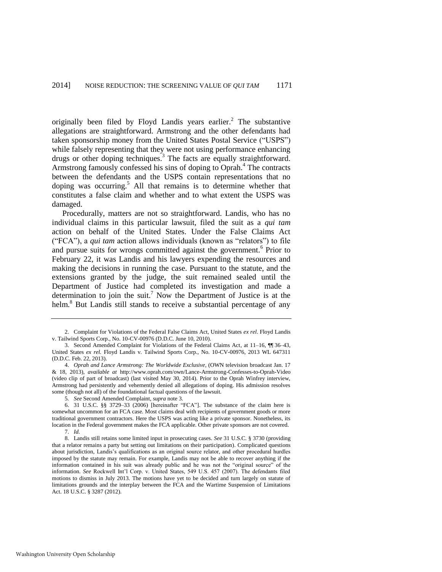<span id="page-3-0"></span>originally been filed by Floyd Landis years earlier.<sup>2</sup> The substantive allegations are straightforward. Armstrong and the other defendants had taken sponsorship money from the United States Postal Service ("USPS") while falsely representing that they were not using performance enhancing drugs or other doping techniques.<sup>3</sup> The facts are equally straightforward. Armstrong famously confessed his sins of doping to Oprah.<sup>4</sup> The contracts between the defendants and the USPS contain representations that no doping was occurring.<sup>5</sup> All that remains is to determine whether that constitutes a false claim and whether and to what extent the USPS was damaged.

Procedurally, matters are not so straightforward. Landis, who has no individual claims in this particular lawsuit, filed the suit as a *qui tam* action on behalf of the United States. Under the False Claims Act ("FCA"), a *qui tam* action allows individuals (known as "relators") to file and pursue suits for wrongs committed against the government.<sup>6</sup> Prior to February 22, it was Landis and his lawyers expending the resources and making the decisions in running the case. Pursuant to the statute, and the extensions granted by the judge, the suit remained sealed until the Department of Justice had completed its investigation and made a determination to join the suit.<sup>7</sup> Now the Department of Justice is at the helm.<sup>8</sup> But Landis still stands to receive a substantial percentage of any

<sup>2.</sup> Complaint for Violations of the Federal False Claims Act, United States *ex rel*. Floyd Landis v. Tailwind Sports Corp., No. 10-CV-00976 (D.D.C. June 10, 2010).

<sup>3.</sup> Second Amended Complaint for Violations of the Federal Claims Act, at 11–16, ¶¶ 36–43, United States ex rel. Floyd Landis v. Tailwind Sports Corp., No. 10-CV-00976, 2013 WL 647311 (D.D.C. Feb. 22, 2013).

<sup>4.</sup> *Oprah and Lance Armstrong: The Worldwide Exclusive*, (OWN television broadcast Jan. 17 & 18, 2013), *available at* <http://www.oprah.com/own/Lance-Armstrong-Confesses-to-Oprah-Video> (video clip of part of broadcast) (last visited May 30, 2014). Prior to the Oprah Winfrey interview, Armstrong had persistently and vehemently denied all allegations of doping. His admission resolves some (though not all) of the foundational factual questions of the lawsuit.

<sup>5</sup>*. See* Second Amended Complaint, *supra* note [3.](#page-3-0)

<sup>6. 31</sup> U.S.C. §§ 3729-33 (2006) [hereinafter "FCA"]. The substance of the claim here is somewhat uncommon for an FCA case. Most claims deal with recipients of government goods or more traditional government contractors. Here the USPS was acting like a private sponsor. Nonetheless, its location in the Federal government makes the FCA applicable. Other private sponsors are not covered. 7. *Id.* 

<sup>8.</sup> Landis still retains some limited input in prosecuting cases. *See* 31 U.S.C. § 3730 (providing that a relator remains a party but setting out limitations on their participation). Complicated questions about jurisdiction, Landis's qualifications as an original source relator, and other procedural hurdles imposed by the statute may remain. For example, Landis may not be able to recover anything if the information contained in his suit was already public and he was not the "original source" of the information. *See* Rockwell Int'l Corp. v. United States, 549 U.S. 457 (2007). The defendants filed motions to dismiss in July 2013. The motions have yet to be decided and turn largely on statute of limitations grounds and the interplay between the FCA and the Wartime Suspension of Limitations Act. 18 U.S.C. § 3287 (2012).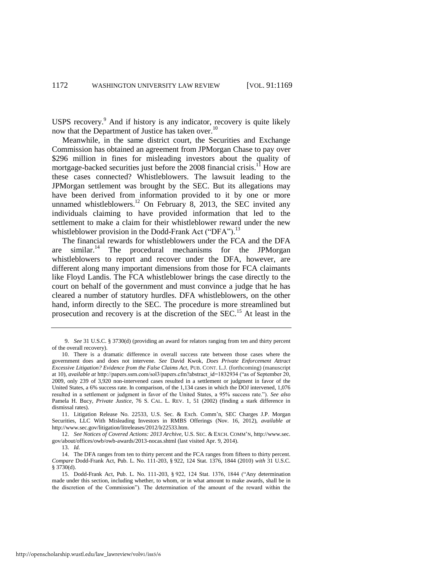<span id="page-4-0"></span>USPS recovery.<sup>9</sup> And if history is any indicator, recovery is quite likely now that the Department of Justice has taken over.<sup>10</sup>

Meanwhile, in the same district court, the Securities and Exchange Commission has obtained an agreement from JPMorgan Chase to pay over \$296 million in fines for misleading investors about the quality of mortgage-backed securities just before the 2008 financial crisis.<sup>11</sup> How are these cases connected? Whistleblowers. The lawsuit leading to the JPMorgan settlement was brought by the SEC. But its allegations may have been derived from information provided to it by one or more unnamed whistleblowers.<sup>12</sup> On February 8, 2013, the SEC invited any individuals claiming to have provided information that led to the settlement to make a claim for their whistleblower reward under the new whistleblower provision in the Dodd-Frank Act ("DFA").<sup>13</sup>

The financial rewards for whistleblowers under the FCA and the DFA are similar.<sup>14</sup> The procedural mechanisms for the JPMorgan whistleblowers to report and recover under the DFA, however, are different along many important dimensions from those for FCA claimants like Floyd Landis. The FCA whistleblower brings the case directly to the court on behalf of the government and must convince a judge that he has cleared a number of statutory hurdles. DFA whistleblowers, on the other hand, inform directly to the SEC. The procedure is more streamlined but prosecution and recovery is at the discretion of the  $SEC.<sup>15</sup>$  At least in the

12. *See Notices of Covered Actions: 2013 Archive*, U.S. SEC. & EXCH. COMM'N, http://www.sec. gov/about/offices/owb/owb-awards/2013-nocas.shtml (last visited Apr. 9, 2014).

13. *Id.*

<sup>9.</sup> *See* 31 U.S.C. § 3730(d) (providing an award for relators ranging from ten and thirty percent of the overall recovery).

<sup>10.</sup> There is a dramatic difference in overall success rate between those cases where the government does and does not intervene. *See* David Kwok, *Does Private Enforcement Attract Excessive Litigation? Evidence from the False Claims Act*, PUB. CONT. L.J. (forthcoming) (manuscript at 10), *available at* http://papers.ssrn.com/sol3/papers.cfm?abstract\_id=1832934 ("as of September 20, 2009, only 239 of 3,920 non-intervened cases resulted in a settlement or judgment in favor of the United States, a 6% success rate. In comparison, of the 1,134 cases in which the DOJ intervened, 1,076 resulted in a settlement or judgment in favor of the United States, a 95% success rate."). *See also* Pamela H. Bucy, *Private Justice*, 76 S. CAL. L. REV. 1, 51 (2002) (finding a stark difference in dismissal rates).

<sup>11.</sup> Litigation Release No. 22533, U.S. Sec. & Exch. Comm'n, SEC Charges J.P. Morgan Securities, LLC With Misleading Investors in RMBS Offerings (Nov. 16, 2012), *available at* http://www.sec.gov/litigation/litreleases/2012/lr22533.htm.

<sup>14.</sup> The DFA ranges from ten to thirty percent and the FCA ranges from fifteen to thirty percent. *Compare* Dodd-Frank Act, Pub. L. No. 111-203, § 922, 124 Stat. 1376, 1844 (2010) *with* 31 U.S.C. § 3730(d).

<sup>15.</sup> Dodd-Frank Act, Pub. L. No. 111-203, § 922, 124 Stat. 1376, 1844 ("Any determination made under this section, including whether, to whom, or in what amount to make awards, shall be in the discretion of the Commission"). The determination of the amount of the reward within the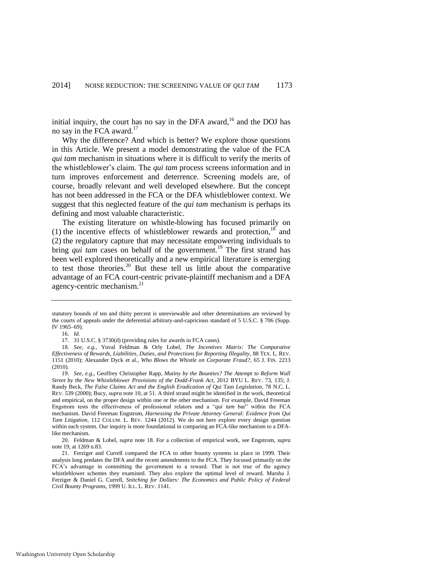initial inquiry, the court has no say in the DFA award, $16$  and the DOJ has no say in the FCA award.<sup>17</sup>

Why the difference? And which is better? We explore those questions in this Article. We present a model demonstrating the value of the FCA *qui tam* mechanism in situations where it is difficult to verify the merits of the whistleblower's claim. The *qui tam* process screens information and in turn improves enforcement and deterrence. Screening models are, of course, broadly relevant and well developed elsewhere. But the concept has not been addressed in the FCA or the DFA whistleblower context. We suggest that this neglected feature of the *qui tam* mechanism is perhaps its defining and most valuable characteristic.

<span id="page-5-3"></span><span id="page-5-1"></span><span id="page-5-0"></span>The existing literature on whistle-blowing has focused primarily on (1) the incentive effects of whistleblower rewards and protection, $18^{\circ}$  and (2) the regulatory capture that may necessitate empowering individuals to bring *qui tam* cases on behalf of the government.<sup>19</sup> The first strand has been well explored theoretically and a new empirical literature is emerging to test those theories. $20$  But these tell us little about the comparative advantage of an FCA court-centric private-plaintiff mechanism and a DFA agency-centric mechanism.<sup>21</sup>

statutory bounds of ten and thirty percent is unreviewable and other determinations are reviewed by the courts of appeals under the deferential arbitrary-and-capricious standard of 5 U.S.C. § 706 (Supp. IV 1965–69).

<span id="page-5-2"></span><sup>16.</sup> *Id.* 

<sup>17. 31</sup> U.S.C. § 3730(d) (providing rules for awards in FCA cases).

<sup>18.</sup> *See, e.g.*, Yuval Feldman & Orly Lobel, *The Incentives Matrix: The Comparative Effectiveness of Rewards, Liabilities, Duties, and Protections for Reporting Illegality*, 88 TEX. L. REV. 1151 (2010); Alexander Dyck et al., *Who Blows the Whistle on Corporate Fraud?*, 65 J. FIN. 2213 (2010).

<sup>19.</sup> *See, e.g.*, Geoffrey Christopher Rapp, *Mutiny by the Bounties? The Attempt to Reform Wall Street by the New Whistleblower Provisions of the Dodd-Frank Act*, 2012 BYU L. REV. 73, 135; J. Randy Beck, *The False Claims Act and the English Eradication of* Qui Tam *Legislation*, 78 N.C. L. REV. 539 (2000); Bucy, *supra* not[e 10,](#page-4-0) at 51. A third strand might be identified in the work, theoretical and empirical, on the proper design within one or the other mechanism. For example, David Freeman Engstrom tests the effectiveness of professional relators and a "*qui tam* bar" within the FCA mechanism. David Freeman Engstrom, *Harnessing the Private Attorney General: Evidence from Qui Tam Litigation*, 112 COLUM. L. REV. 1244 (2012). We do not here explore every design question within each system. Our inquiry is more foundational in comparing an FCA-like mechanism to a DFAlike mechanism.

<sup>20.</sup> Feldman & Lobel, *supra* note [18.](#page-5-0) For a collection of empirical work, see Engstrom, *supra* note [19,](#page-5-1) at 1269 n.83.

<sup>21.</sup> Ferziger and Currell compared the FCA to other bounty systems in place in 1999. Their analysis long predates the DFA and the recent amendments to the FCA. They focused primarily on the FCA's advantage in committing the government to a reward. That is not true of the agency whistleblower schemes they examined. They also explore the optimal level of reward. Marsha J. Ferziger & Daniel G. Currell, *Snitching for Dollars: The Economics and Public Policy of Federal Civil Bounty Programs*, 1999 U. ILL. L. REV. 1141.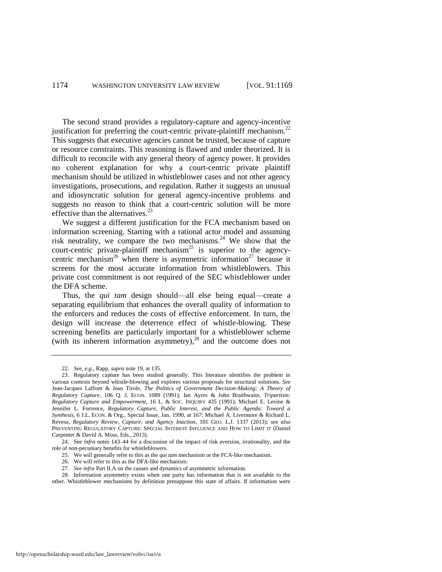The second strand provides a regulatory-capture and agency-incentive justification for preferring the court-centric private-plaintiff mechanism.<sup>22</sup> This suggests that executive agencies cannot be trusted, because of capture or resource constraints. This reasoning is flawed and under theorized. It is difficult to reconcile with any general theory of agency power. It provides no coherent explanation for why a court-centric private plaintiff mechanism should be utilized in whistleblower cases and not other agency investigations, prosecutions, and regulation. Rather it suggests an unusual and idiosyncratic solution for general agency-incentive problems and suggests no reason to think that a court-centric solution will be more effective than the alternatives.<sup>23</sup>

<span id="page-6-0"></span>We suggest a different justification for the FCA mechanism based on information screening. Starting with a rational actor model and assuming risk neutrality, we compare the two mechanisms.<sup>24</sup> We show that the court-centric private-plaintiff mechanism<sup>25</sup> is superior to the agencycentric mechanism<sup>26</sup> when there is asymmetric information<sup>27</sup> because it screens for the most accurate information from whistleblowers. This private cost commitment is not required of the SEC whistleblower under the DFA scheme.

Thus, the *qui tam* design should—all else being equal—create a separating equilibrium that enhances the overall quality of information to the enforcers and reduces the costs of effective enforcement. In turn, the design will increase the deterrence effect of whistle-blowing. These screening benefits are particularly important for a whistleblower scheme (with its inherent information asymmetry), $^{28}$  and the outcome does not

26. We will refer to this as the DFA-like mechanism.

<sup>22.</sup> *See, e.g.*, Rapp, *supra* note [19,](#page-5-1) at 135.

<sup>23.</sup> Regulatory capture has been studied generally. This literature identifies the problem in various contexts beyond whistle-blowing and explores various proposals for structural solutions. *See* Jean-Jacques Laffont & Jean Tirole, *The Politics of Government Decision-Making: A Theory of Regulatory Capture*, 106 Q. J. ECON. 1089 (1991); Ian Ayres & John Braithwaite, *Tripartism: Regulatory Capture and Empowerment*, 16 L. & SOC. INQUIRY 435 (1991); Michael E. Levine & Jennifer L. Forrence, *Regulatory Capture, Public Interest, and the Public Agenda: Toward a Synthesis*, 6 J.L. ECON. & Org., Special Issue, Jan. 1990, at 167; Michael A. Livermore & Richard L. Revesz, *Regulatory Review, Capture, and Agency Inaction*, 101 GEO. L.J. 1337 (2013); *see also*  PREVENTING REGULATORY CAPTURE: SPECIAL INTEREST INFLUENCE AND HOW TO LIMIT IT (Daniel Carpenter & David A. Moss, Eds., 2013).

<sup>24.</sup> See *infra* notes [143–](#page-38-0)44 for a discussion of the impact of risk aversion, irrationality, and the role of non-pecuniary benefits for whistleblowers.

<sup>25.</sup> We will generally refer to this as the *qui tam* mechanism or the FCA-like mechanism.

<sup>27.</sup> *See infra* Part II.A on the causes and dynamics of asymmetric information.

<sup>28.</sup> Information asymmetry exists when one party has information that is not available to the other. Whistleblower mechanisms by definition presuppose this state of affairs. If information were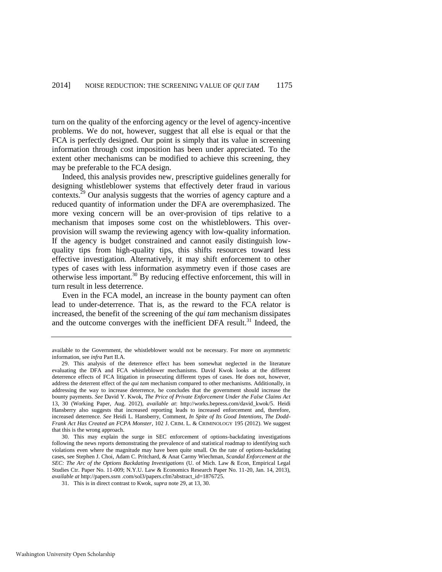turn on the quality of the enforcing agency or the level of agency-incentive problems. We do not, however, suggest that all else is equal or that the FCA is perfectly designed. Our point is simply that its value in screening information through cost imposition has been under appreciated. To the extent other mechanisms can be modified to achieve this screening, they may be preferable to the FCA design.

<span id="page-7-0"></span>Indeed, this analysis provides new, prescriptive guidelines generally for designing whistleblower systems that effectively deter fraud in various contexts.<sup>29</sup> Our analysis suggests that the worries of agency capture and a reduced quantity of information under the DFA are overemphasized. The more vexing concern will be an over-provision of tips relative to a mechanism that imposes some cost on the whistleblowers. This overprovision will swamp the reviewing agency with low-quality information. If the agency is budget constrained and cannot easily distinguish lowquality tips from high-quality tips, this shifts resources toward less effective investigation. Alternatively, it may shift enforcement to other types of cases with less information asymmetry even if those cases are otherwise less important.<sup>30</sup> By reducing effective enforcement, this will in turn result in less deterrence.

Even in the FCA model, an increase in the bounty payment can often lead to under-deterrence. That is, as the reward to the FCA relator is increased, the benefit of the screening of the *qui tam* mechanism dissipates and the outcome converges with the inefficient DFA result.<sup>31</sup> Indeed, the

available to the Government, the whistleblower would not be necessary. For more on asymmetric information, see *infra* Part II.A.

<sup>29.</sup> This analysis of the deterrence effect has been somewhat neglected in the literature evaluating the DFA and FCA whistleblower mechanisms. David Kwok looks at the different deterrence effects of FCA litigation in prosecuting different types of cases. He does not, however, address the deterrent effect of the *qui tam* mechanism compared to other mechanisms. Additionally, in addressing the way to increase deterrence, he concludes that the government should increase the bounty payments. *See* David Y. Kwok, *The Price of Private Enforcement Under the False Claims Act* 13, 30 (Working Paper, Aug. 2012), *available at*: http://works.bepress.com/david\_kwok/5. Heidi Hansberry also suggests that increased reporting leads to increased enforcement and, therefore, increased deterrence. *See* Heidi L. Hansberry, Comment, *In Spite of Its Good Intentions, The Dodd-Frank Act Has Created an FCPA Monster*, 102 J. CRIM. L. & CRIMINOLOGY 195 (2012). We suggest that this is the wrong approach.

<sup>30.</sup> This may explain the surge in SEC enforcement of options-backdating investigations following the news reports demonstrating the prevalence of and statistical roadmap to identifying such violations even where the magnitude may have been quite small. On the rate of options-backdating cases, see Stephen J. Choi, Adam C. Pritchard, & Anat Carmy Wiechman, *Scandal Enforcement at the SEC: The Arc of the Options Backdating Investigations* (U. of Mich. Law & Econ, Empirical Legal Studies Ctr. Paper No. 11-009; N.Y.U. Law & Economics Research Paper No. 11-20, Jan. 14, 2013), *available at* http://papers.ssrn .com/sol3/papers.cfm?abstract\_id=1876725.

<sup>31.</sup> This is in direct contrast to Kwok, *supra* not[e 29,](#page-7-0) at 13, 30.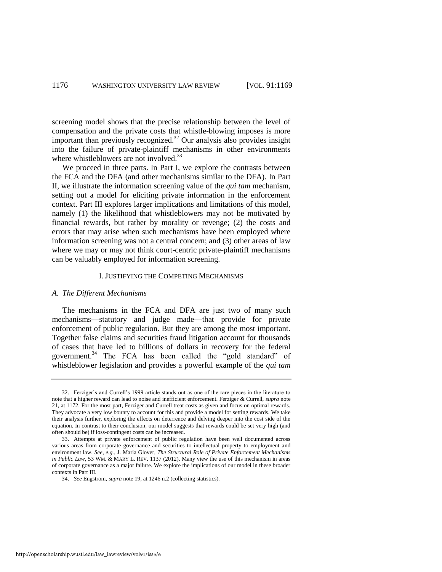screening model shows that the precise relationship between the level of compensation and the private costs that whistle-blowing imposes is more important than previously recognized.<sup>32</sup> Our analysis also provides insight into the failure of private-plaintiff mechanisms in other environments where whistleblowers are not involved.<sup>33</sup>

We proceed in three parts. In Part I, we explore the contrasts between the FCA and the DFA (and other mechanisms similar to the DFA). In Part II, we illustrate the information screening value of the *qui tam* mechanism, setting out a model for eliciting private information in the enforcement context. Part III explores larger implications and limitations of this model, namely (1) the likelihood that whistleblowers may not be motivated by financial rewards, but rather by morality or revenge; (2) the costs and errors that may arise when such mechanisms have been employed where information screening was not a central concern; and (3) other areas of law where we may or may not think court-centric private-plaintiff mechanisms can be valuably employed for information screening.

#### I. JUSTIFYING THE COMPETING MECHANISMS

#### *A. The Different Mechanisms*

The mechanisms in the FCA and DFA are just two of many such mechanisms—statutory and judge made—that provide for private enforcement of public regulation. But they are among the most important. Together false claims and securities fraud litigation account for thousands of cases that have led to billions of dollars in recovery for the federal government.<sup>34</sup> The FCA has been called the "gold standard" of whistleblower legislation and provides a powerful example of the *qui tam*

<sup>32.</sup> Ferziger's and Currell's 1999 article stands out as one of the rare pieces in the literature to note that a higher reward can lead to noise and inefficient enforcement. Ferziger & Currell, *supra* note [21,](#page-5-2) at 1172. For the most part, Ferziger and Currell treat costs as given and focus on optimal rewards. They advocate a very low bounty to account for this and provide a model for setting rewards. We take their analysis further, exploring the effects on deterrence and delving deeper into the cost side of the equation. In contrast to their conclusion, our model suggests that rewards could be set very high (and often should be) if loss-contingent costs can be increased.

<sup>33.</sup> Attempts at private enforcement of public regulation have been well documented across various areas from corporate governance and securities to intellectual property to employment and environment law. *See, e.g.*, J. Maria Glover, *The Structural Role of Private Enforcement Mechanisms in Public Law*, 53 WM. & MARY L. REV. 1137 (2012). Many view the use of this mechanism in areas of corporate governance as a major failure. We explore the implications of our model in these broader contexts in Part III.

<sup>34.</sup> *See* Engstrom, *supra* not[e 19,](#page-5-1) at 1246 n.2 (collecting statistics).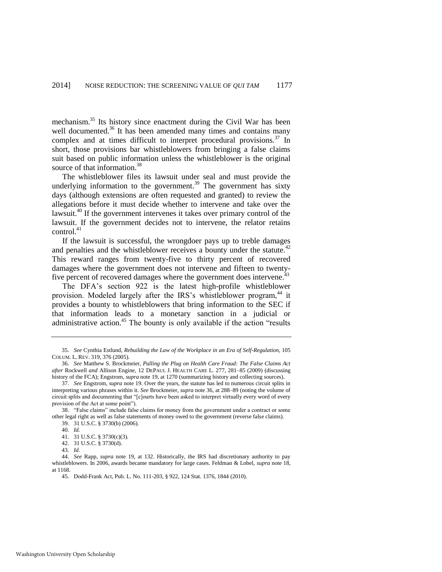<span id="page-9-0"></span>mechanism.<sup>35</sup> Its history since enactment during the Civil War has been well documented. $36$  It has been amended many times and contains many complex and at times difficult to interpret procedural provisions.<sup>37</sup> In short, those provisions bar whistleblowers from bringing a false claims suit based on public information unless the whistleblower is the original source of that information.<sup>38</sup>

The whistleblower files its lawsuit under seal and must provide the underlying information to the government.<sup>39</sup> The government has sixty days (although extensions are often requested and granted) to review the allegations before it must decide whether to intervene and take over the lawsuit.<sup>40</sup> If the government intervenes it takes over primary control of the lawsuit. If the government decides not to intervene, the relator retains  $control<sup>41</sup>$ 

If the lawsuit is successful, the wrongdoer pays up to treble damages and penalties and the whistleblower receives a bounty under the statute. $42$ This reward ranges from twenty-five to thirty percent of recovered damages where the government does not intervene and fifteen to twentyfive percent of recovered damages where the government does intervene.<sup>43</sup>

The DFA's section 922 is the latest high-profile whistleblower provision. Modeled largely after the IRS's whistleblower program,<sup>44</sup> it provides a bounty to whistleblowers that bring information to the SEC if that information leads to a monetary sanction in a judicial or administrative action.<sup>45</sup> The bounty is only available if the action "results"

<sup>35.</sup> *See* Cynthia Estlund, *Rebuilding the Law of the Workplace in an Era of Self-Regulation*, 105 COLUM. L. REV. 319, 376 (2005).

<sup>36.</sup> *See* Matthew S. Brockmeier, *Pulling the Plug on Health Care Fraud: The False Claims Act after* Rockwell *and* Allison Engine*,* 12 DEPAUL J. HEALTH CARE L. 277, 281–85 (2009) (discussing history of the FCA); Engstrom, *supra* not[e 19,](#page-5-1) at 1270 (summarizing history and collecting sources).

<sup>37.</sup> *See* Engstrom, *supra* not[e 19.](#page-5-1) Over the years, the statute has led to numerous circuit splits in interpreting various phrases within it. *See* Brockmeier, *supra* not[e 36,](#page-9-0) at 288–89 (noting the volume of circuit splits and documenting that "[c]ourts have been asked to interpret virtually every word of every provision of the Act at some point").

<sup>38. &</sup>quot;False claims" include false claims for money from the government under a contract or some other legal right as well as false statements of money owed to the government (reverse false claims). 39. 31 U.S.C. § 3730(b) (2006).

<sup>40.</sup> *Id.* 

<sup>41. 31</sup> U.S.C. § 3730(c)(3).

<sup>42. 31</sup> U.S.C. § 3730(d).

<sup>43</sup>*. Id.*

<sup>44.</sup> *See* Rapp, *supra* note [19,](#page-5-1) at 132. Historically, the IRS had discretionary authority to pay whistleblowers. In 2006, awards became mandatory for large cases. Feldman & Lobel, *supra* not[e 18,](#page-5-0)  at 1168.

<sup>45.</sup> Dodd-Frank Act, Pub. L. No. 111-203, § 922, 124 Stat. 1376, 1844 (2010).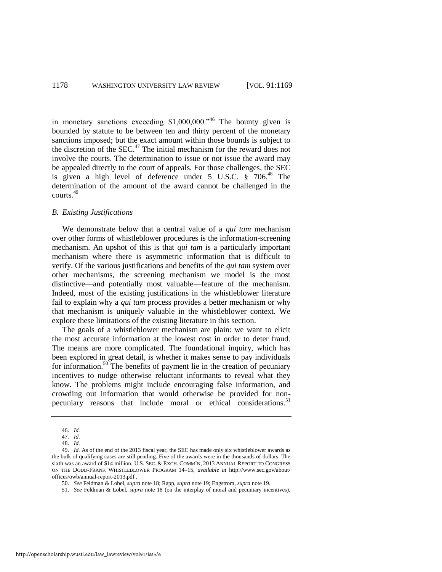in monetary sanctions exceeding  $$1,000,000."$ <sup>46</sup> The bounty given is bounded by statute to be between ten and thirty percent of the monetary sanctions imposed; but the exact amount within those bounds is subject to the discretion of the SEC.<sup>47</sup> The initial mechanism for the reward does not involve the courts. The determination to issue or not issue the award may be appealed directly to the court of appeals. For those challenges, the SEC is given a high level of deference under  $5 \text{ U.S.C. }$   $\frac{8}{3}$   $706^{48}$  The determination of the amount of the award cannot be challenged in the courts.<sup>49</sup>

#### <span id="page-10-0"></span>*B. Existing Justifications*

We demonstrate below that a central value of a *qui tam* mechanism over other forms of whistleblower procedures is the information-screening mechanism. An upshot of this is that *qui tam* is a particularly important mechanism where there is asymmetric information that is difficult to verify. Of the various justifications and benefits of the *qui tam* system over other mechanisms, the screening mechanism we model is the most distinctive—and potentially most valuable—feature of the mechanism. Indeed, most of the existing justifications in the whistleblower literature fail to explain why a *qui tam* process provides a better mechanism or why that mechanism is uniquely valuable in the whistleblower context. We explore these limitations of the existing literature in this section.

The goals of a whistleblower mechanism are plain: we want to elicit the most accurate information at the lowest cost in order to deter fraud. The means are more complicated. The foundational inquiry, which has been explored in great detail, is whether it makes sense to pay individuals for information.<sup>50</sup> The benefits of payment lie in the creation of pecuniary incentives to nudge otherwise reluctant informants to reveal what they know. The problems might include encouraging false information, and crowding out information that would otherwise be provided for nonpecuniary reasons that include moral or ethical considerations.<sup>51</sup>

<sup>46.</sup> *Id.*

<sup>47</sup>*. Id.*

<sup>48.</sup> *Id.* 

<sup>49.</sup> *Id.* As of the end of the 2013 fiscal year, the SEC has made only six whistleblower awards as the bulk of qualifying cases are still pending. Five of the awards were in the thousands of dollars. The sixth was an award of \$14 million. U.S. SEC. & EXCH. COMM'N, 2013 ANNUAL REPORT TO CONGRESS ON THE DODD-FRANK WHISTLEBLOWER PROGRAM 14–15, *available at* http://www.sec.gov/about/ offices/owb/annual-report-2013.pdf *.*

<sup>50.</sup> *See* Feldman & Lobel, *supra* not[e 18;](#page-5-0) Rapp, *supra* not[e 19;](#page-5-1) Engstrom, *supra* not[e 19.](#page-5-1) 

<sup>51.</sup> *See* Feldman & Lobel, *supra* note [18](#page-5-0) (on the interplay of moral and pecuniary incentives).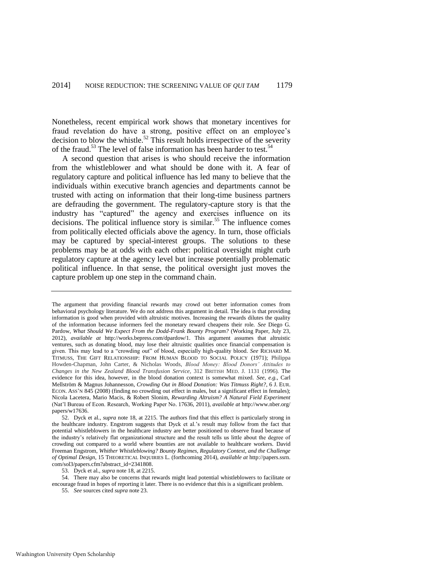<span id="page-11-0"></span>Nonetheless, recent empirical work shows that monetary incentives for fraud revelation do have a strong, positive effect on an employee's decision to blow the whistle.<sup>52</sup> This result holds irrespective of the severity of the fraud.<sup>53</sup> The level of false information has been harder to test.<sup>54</sup>

A second question that arises is who should receive the information from the whistleblower and what should be done with it. A fear of regulatory capture and political influence has led many to believe that the individuals within executive branch agencies and departments cannot be trusted with acting on information that their long-time business partners are defrauding the government. The regulatory-capture story is that the industry has "captured" the agency and exercises influence on its decisions. The political influence story is similar.<sup>55</sup> The influence comes from politically elected officials above the agency. In turn, those officials may be captured by special-interest groups. The solutions to these problems may be at odds with each other: political oversight might curb regulatory capture at the agency level but increase potentially problematic political influence. In that sense, the political oversight just moves the capture problem up one step in the command chain.

53. Dyck et al., *supra* not[e 18,](#page-5-0) at 2215.

54. There may also be concerns that rewards might lead potential whistleblowers to facilitate or encourage fraud in hopes of reporting it later. There is no evidence that this is a significant problem.

55. *See* sources cited *supra* not[e 23.](#page-6-0) 

The argument that providing financial rewards may crowd out better information comes from behavioral psychology literature. We do not address this argument in detail. The idea is that providing information is good when provided with altruistic motives. Increasing the rewards dilutes the quality of the information because informers feel the monetary reward cheapens their role. *See* Diego G. Pardow, *What Should We Expect From the Dodd-Frank Bounty Program?* (Working Paper, July 23, 2012), *available at* http://works.bepress.com/dpardow/1. This argument assumes that altruistic ventures, such as donating blood, may lose their altruistic qualities once financial compensation is given. This may lead to a "crowding out" of blood, especially high-quality blood. *See* RICHARD M. TITMUSS, THE GIFT RELATIONSHIP: FROM HUMAN BLOOD TO SOCIAL POLICY (1971); Philippa Howden-Chapman, John Carter, & Nicholas Woods, *Blood Money: Blood Donors' Attitudes to Changes in the New Zealand Blood Transfusion Service*, 312 BRITISH MED. J. 1131 (1996). The evidence for this idea, however, in the blood donation context is somewhat mixed. *See, e.g.*, Carl Mellström & Magnus Johannesson, *Crowding Out in Blood Donation: Was Titmuss Right?*, 6 J. EUR. ECON. ASS'N 845 (2008) (finding no crowding out effect in males, but a significant effect in females); Nicola Lacetera, Mario Macis, & Robert Slonim, *Rewarding Altruism? A Natural Field Experiment*  (Nat'l Bureau of Econ. Research, Working Paper No. 17636, 2011), *available at* http://www.nber.org/ papers/w17636.

<sup>52.</sup> Dyck et al., *supra* not[e 18,](#page-5-0) at 2215. The authors find that this effect is particularly strong in the healthcare industry. Engstrom suggests that Dyck et al.'s result may follow from the fact that potential whistleblowers in the healthcare industry are better positioned to observe fraud because of the industry's relatively flat organizational structure and the result tells us little about the degree of crowding out compared to a world where bounties are not available to healthcare workers. David Freeman Engstrom, *Whither Whistleblowing? Bounty Regimes, Regulatory Context, and the Challenge of Optimal Design*, 15 THEORETICAL INQUIRIES L. (forthcoming 2014), *available at* http://papers.ssrn. com/sol3/papers.cfm?abstract\_id=2341808.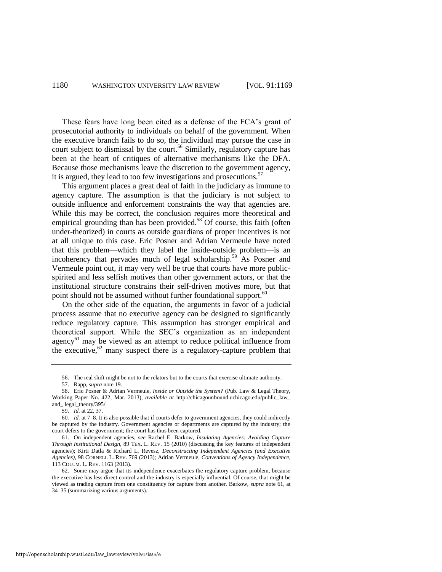These fears have long been cited as a defense of the FCA's grant of prosecutorial authority to individuals on behalf of the government. When the executive branch fails to do so, the individual may pursue the case in court subject to dismissal by the court.<sup>56</sup> Similarly, regulatory capture has been at the heart of critiques of alternative mechanisms like the DFA. Because those mechanisms leave the discretion to the government agency, it is argued, they lead to too few investigations and prosecutions.<sup>57</sup>

<span id="page-12-1"></span>This argument places a great deal of faith in the judiciary as immune to agency capture. The assumption is that the judiciary is not subject to outside influence and enforcement constraints the way that agencies are. While this may be correct, the conclusion requires more theoretical and empirical grounding than has been provided. $58$  Of course, this faith (often under-theorized) in courts as outside guardians of proper incentives is not at all unique to this case. Eric Posner and Adrian Vermeule have noted that this problem—which they label the inside-outside problem—is an incoherency that pervades much of legal scholarship.<sup>59</sup> As Posner and Vermeule point out, it may very well be true that courts have more publicspirited and less selfish motives than other government actors, or that the institutional structure constrains their self-driven motives more, but that point should not be assumed without further foundational support.<sup>60</sup>

On the other side of the equation, the arguments in favor of a judicial process assume that no executive agency can be designed to significantly reduce regulatory capture. This assumption has stronger empirical and theoretical support. While the SEC's organization as an independent agency<sup>61</sup> may be viewed as an attempt to reduce political influence from the executive,  $62$  many suspect there is a regulatory-capture problem that

<span id="page-12-0"></span><sup>56.</sup> The real shift might be not to the relators but to the courts that exercise ultimate authority.

<sup>57.</sup> Rapp, *supra* not[e 19.](#page-5-1)

<sup>58.</sup> Eric Posner & Adrian Vermeule, *Inside or Outside the System?* (Pub. Law & Legal Theory, Working Paper No. 422, Mar. 2013), *available at* http://chicagounbound.uchicago.edu/public\_law\_ and\_ legal\_theory/395/.

<sup>59.</sup> *Id.* at 22, 37.

<sup>60</sup>*. Id.* at 7–8. It is also possible that if courts defer to government agencies, they could indirectly be captured by the industry. Government agencies or departments are captured by the industry; the court defers to the government; the court has thus been captured.

<sup>61.</sup> On independent agencies, s*ee* Rachel E. Barkow, *Insulating Agencies: Avoiding Capture Through Institutional Design*, 89 TEX. L. REV. 15 (2010) (discussing the key features of independent agencies); Kirti Datla & Richard L. Revesz, *Deconstructing Independent Agencies (and Executive Agencies)*, 98 CORNELL L. REV. 769 (2013); Adrian Vermeule, *Conventions of Agency Independence*, 113 COLUM. L. REV. 1163 (2013).

<sup>62.</sup> Some may argue that its independence exacerbates the regulatory capture problem, because the executive has less direct control and the industry is especially influential. Of course, that might be viewed as trading capture from one constituency for capture from another. Barkow, *supra* note [61,](#page-12-0) at 34–35 (summarizing various arguments).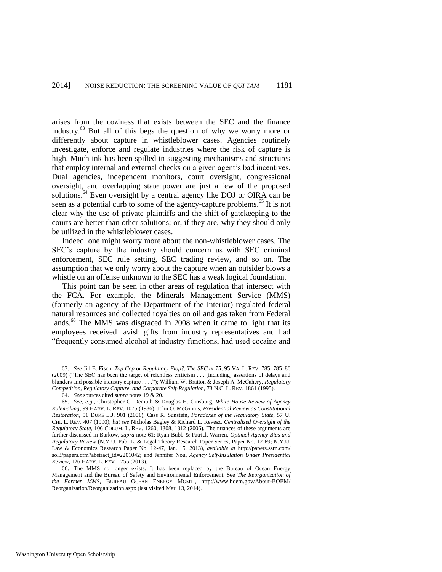arises from the coziness that exists between the SEC and the finance industry.<sup>63</sup> But all of this begs the question of why we worry more or differently about capture in whistleblower cases. Agencies routinely investigate, enforce and regulate industries where the risk of capture is high. Much ink has been spilled in suggesting mechanisms and structures that employ internal and external checks on a given agent's bad incentives. Dual agencies, independent monitors, court oversight, congressional oversight, and overlapping state power are just a few of the proposed solutions.<sup>64</sup> Even oversight by a central agency like DOJ or OIRA can be seen as a potential curb to some of the agency-capture problems.<sup>65</sup> It is not clear why the use of private plaintiffs and the shift of gatekeeping to the courts are better than other solutions; or, if they are, why they should only be utilized in the whistleblower cases.

<span id="page-13-0"></span>Indeed, one might worry more about the non-whistleblower cases. The SEC's capture by the industry should concern us with SEC criminal enforcement, SEC rule setting, SEC trading review, and so on. The assumption that we only worry about the capture when an outsider blows a whistle on an offense unknown to the SEC has a weak logical foundation.

This point can be seen in other areas of regulation that intersect with the FCA. For example, the Minerals Management Service (MMS) (formerly an agency of the Department of the Interior) regulated federal natural resources and collected royalties on oil and gas taken from Federal lands.<sup>66</sup> The MMS was disgraced in 2008 when it came to light that its employees received lavish gifts from industry representatives and had "frequently consumed alcohol at industry functions, had used cocaine and

<sup>63.</sup> *See* Jill E. Fisch, *Top Cop or Regulatory Flop?, The SEC at 75*, 95 VA. L. REV. 785, 785–86 (2009) ("The SEC has been the target of relentless criticism . . . [including] assertions of delays and blunders and possible industry capture . . . ."); William W. Bratton & Joseph A. McCahery, *Regulatory Competition, Regulatory Capture, and Corporate Self-Regulation*, 73 N.C. L. REV. 1861 (1995).

<sup>64.</sup> *See* sources cited *supra* note[s 19](#page-5-1) [& 20.](#page-5-3)

<sup>65.</sup> *See, e.g.*, Christopher C. Demuth & Douglas H. Ginsburg, *White House Review of Agency Rulemaking*, 99 HARV. L. REV. 1075 (1986); John O. McGinnis, *Presidential Review as Constitutional Restoration*, 51 DUKE L.J. 901 (2001); Cass R. Sunstein, *Paradoxes of the Regulatory State,* 57 U. CHI. L. REV. 407 (1990); *but see* Nicholas Bagley & Richard L. Revesz, *Centralized Oversight of the Regulatory State*, 106 COLUM. L. REV. 1260, 1308, 1312 (2006). The nuances of these arguments are further discussed in Barkow, *supra* note [61;](#page-12-0) Ryan Bubb & Patrick Warren, *Optimal Agency Bias and Regulatory Review* (N.Y.U. Pub. L. & Legal Theory Research Paper Series, Paper No. 12-69; N.Y.U. Law & Economics Research Paper No. 12-47, Jan. 15, 2013), *available at* http://papers.ssrn.com/ sol3/papers.cfm?abstract\_id=2201042; and Jennifer Nou, *Agency Self-Insulation Under Presidential Review*, 126 HARV. L. REV. 1755 (2013).

<sup>66.</sup> The MMS no longer exists. It has been replaced by the Bureau of Ocean Energy Management and the Bureau of Safety and Environmental Enforcement. See *The Reorganization of the Former MMS*, BUREAU OCEAN ENERGY MGMT., http://www.boem.gov/About-BOEM/ Reorganization/Reorganization.aspx (last visited Mar. 13, 2014).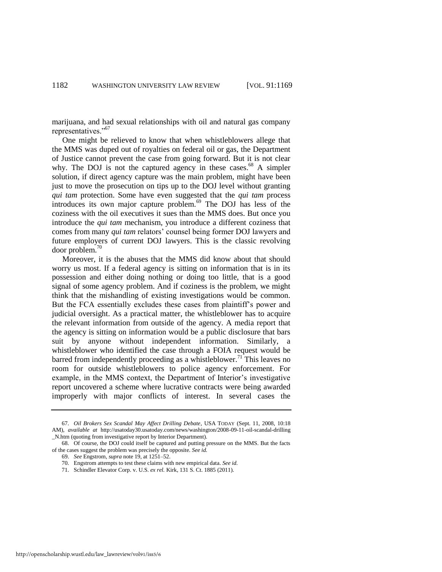marijuana, and had sexual relationships with oil and natural gas company representatives."<sup>67</sup>

One might be relieved to know that when whistleblowers allege that the MMS was duped out of royalties on federal oil or gas, the Department of Justice cannot prevent the case from going forward. But it is not clear why. The DOJ is not the captured agency in these cases. $68$  A simpler solution, if direct agency capture was the main problem, might have been just to move the prosecution on tips up to the DOJ level without granting *qui tam* protection. Some have even suggested that the *qui tam* process introduces its own major capture problem.<sup>69</sup> The DOJ has less of the coziness with the oil executives it sues than the MMS does. But once you introduce the *qui tam* mechanism, you introduce a different coziness that comes from many *qui tam* relators' counsel being former DOJ lawyers and future employers of current DOJ lawyers. This is the classic revolving door problem.<sup>70</sup>

Moreover, it is the abuses that the MMS did know about that should worry us most. If a federal agency is sitting on information that is in its possession and either doing nothing or doing too little, that is a good signal of some agency problem. And if coziness is the problem, we might think that the mishandling of existing investigations would be common. But the FCA essentially excludes these cases from plaintiff's power and judicial oversight. As a practical matter, the whistleblower has to acquire the relevant information from outside of the agency. A media report that the agency is sitting on information would be a public disclosure that bars suit by anyone without independent information. Similarly, a whistleblower who identified the case through a FOIA request would be barred from independently proceeding as a whistleblower.<sup>71</sup> This leaves no room for outside whistleblowers to police agency enforcement. For example, in the MMS context, the Department of Interior's investigative report uncovered a scheme where lucrative contracts were being awarded improperly with major conflicts of interest. In several cases the

<sup>67.</sup> *Oil Brokers Sex Scandal May Affect Drilling Debate*, USA TODAY (Sept. 11, 2008, 10:18 AM), *available at* http://usatoday30.usatoday.com/news/washington/2008-09-11-oil-scandal-drilling \_N.htm (quoting from investigative report by Interior Department).

<sup>68.</sup> Of course, the DOJ could itself be captured and putting pressure on the MMS. But the facts of the cases suggest the problem was precisely the opposite. *See id.* 

<sup>69.</sup> *See* Engstrom, *supra* not[e 19,](#page-5-1) at 1251–52.

<sup>70.</sup> Engstrom attempts to test these claims with new empirical data. *See id.*

<sup>71.</sup> Schindler Elevator Corp. v. U.S. *ex rel.* Kirk, 131 S. Ct. 1885 (2011).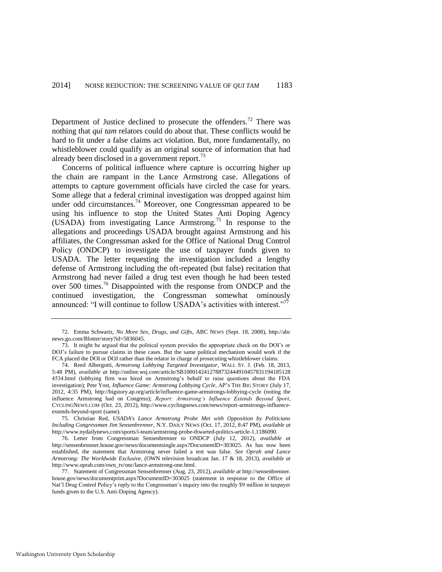Department of Justice declined to prosecute the offenders.<sup>72</sup> There was nothing that *qui tam* relators could do about that. These conflicts would be hard to fit under a false claims act violation. But, more fundamentally, no whistleblower could qualify as an original source of information that had already been disclosed in a government report.<sup>73</sup>

Concerns of political influence where capture is occurring higher up the chain are rampant in the Lance Armstrong case. Allegations of attempts to capture government officials have circled the case for years. Some allege that a federal criminal investigation was dropped against him under odd circumstances.<sup>74</sup> Moreover, one Congressman appeared to be using his influence to stop the United States Anti Doping Agency (USADA) from investigating Lance Armstrong.<sup>75</sup> In response to the allegations and proceedings USADA brought against Armstrong and his affiliates, the Congressman asked for the Office of National Drug Control Policy (ONDCP) to investigate the use of taxpayer funds given to USADA. The letter requesting the investigation included a lengthy defense of Armstrong including the oft-repeated (but false) recitation that Armstrong had never failed a drug test even though he had been tested over 500 times.<sup>76</sup> Disappointed with the response from ONDCP and the continued investigation, the Congressman somewhat ominously announced: "I will continue to follow USADA's activities with interest."<sup>77</sup>

75. Christian Red, *USADA's Lance Armstrong Probe Met with Opposition by Politicians Including Congressman Jim Sensenbrenner*, N.Y. DAILY NEWS (Oct. 17, 2012, 8:47 PM), *available at* http://www.nydailynews.com/sports/i-team/armstrong-probe-thwarted-politics-article-1.1186090.

76. Letter from Congressman Sensenbrenner to ONDCP (July 12, 2012), *available at*  http://sensenbrenner.house.gov/news/documentsingle.aspx?DocumentID=303025. As has now been established, the statement that Armstrong never failed a test was false. *See Oprah and Lance Armstrong: The Worldwide Exclusive*, (OWN television broadcast Jan. 17 & 18, 2013), *available at* http://www.oprah.com/own\_tv/onc/lance-armstrong-one.html.

77. Statement of Congressman Sensenbrenner (Aug. 23, 2012), *available at* http://sensenbrenner. house.gov/news/documentprint.aspx?DocumentID=303025 (statement in response to the Office of Nat'l Drug Control Policy's reply to the Congressman's inquiry into the roughly \$9 million in taxpayer funds given to the U.S. Anti-Doping Agency).

<sup>72.</sup> Emma Schwartz, *No More Sex, Drugs, and Gifts*, ABC NEWS (Sept. 18, 2008), http://abc news.go.com/Blotter/story?id=5836045.

<sup>73.</sup> It might be argued that the political system provides the appropriate check on the DOI's or DOJ's failure to pursue claims in these cases. But the same political mechanism would work if the FCA placed the DOI or DOJ rather than the relator in charge of prosecuting whistleblower claims.

<sup>74.</sup> Reed Albergotti, *Armstrong Lobbying Targeted Investigator*, WALL ST. J. (Feb. 18, 2013, 5:48 PM), *available at* http://online.wsj.com/article/SB1000142412788732444910457831194185128 4534.html (lobbying firm was hired on Armstrong's behalf to raise questions about the FDA investigation); Pete Yost, *Influence Game: Armstrong Lobbying Cycle*, AP'S THE BIG STORY (July 17, 2012, 4:35 PM), http://bigstory.ap.org/article/influence-game-armstrongs-lobbying-cycle (noting the influence Armstrong had on Congress); *Report: Armstrong's Influence Extends Beyond Sport*, CYCLINGNEWS.COM (Oct. 23, 2012), http://www.cyclingnews.com/news/report-armstrongs-influenceextends-beyond-sport (same).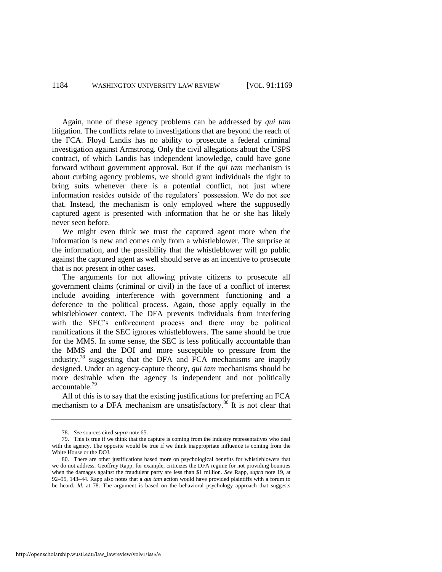Again, none of these agency problems can be addressed by *qui tam* litigation. The conflicts relate to investigations that are beyond the reach of the FCA. Floyd Landis has no ability to prosecute a federal criminal investigation against Armstrong. Only the civil allegations about the USPS contract, of which Landis has independent knowledge, could have gone forward without government approval. But if the *qui tam* mechanism is about curbing agency problems, we should grant individuals the right to bring suits whenever there is a potential conflict, not just where information resides outside of the regulators' possession. We do not see that. Instead, the mechanism is only employed where the supposedly captured agent is presented with information that he or she has likely never seen before.

We might even think we trust the captured agent more when the information is new and comes only from a whistleblower. The surprise at the information, and the possibility that the whistleblower will go public against the captured agent as well should serve as an incentive to prosecute that is not present in other cases.

The arguments for not allowing private citizens to prosecute all government claims (criminal or civil) in the face of a conflict of interest include avoiding interference with government functioning and a deference to the political process. Again, those apply equally in the whistleblower context. The DFA prevents individuals from interfering with the SEC's enforcement process and there may be political ramifications if the SEC ignores whistleblowers. The same should be true for the MMS. In some sense, the SEC is less politically accountable than the MMS and the DOI and more susceptible to pressure from the industry, $78$  suggesting that the DFA and FCA mechanisms are inaptly designed. Under an agency-capture theory, *qui tam* mechanisms should be more desirable when the agency is independent and not politically accountable.<sup>79</sup>

All of this is to say that the existing justifications for preferring an FCA mechanism to a DFA mechanism are unsatisfactory.<sup>80</sup> It is not clear that

<sup>78.</sup> *See* sources cited *supra* not[e 65.](#page-13-0) 

<sup>79.</sup> This is true if we think that the capture is coming from the industry representatives who deal with the agency. The opposite would be true if we think inappropriate influence is coming from the White House or the DOJ.

<sup>80.</sup> There are other justifications based more on psychological benefits for whistleblowers that we do not address. Geoffrey Rapp, for example, criticizes the DFA regime for not providing bounties when the damages against the fraudulent party are less than \$1 million. *See* Rapp, *supra* note [19,](#page-5-1) at 92–95, 143–44. Rapp also notes that a *qui tam* action would have provided plaintiffs with a forum to be heard. *Id.* at 78. The argument is based on the behavioral psychology approach that suggests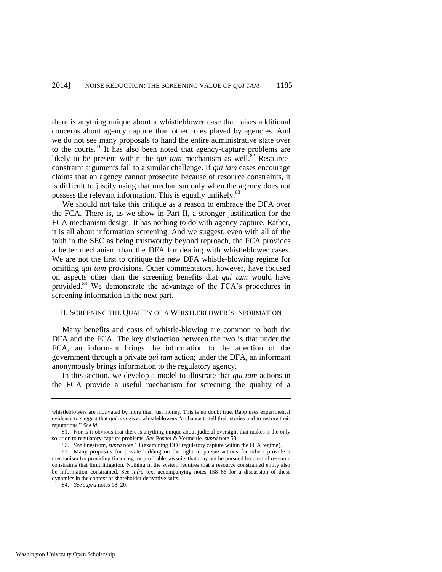there is anything unique about a whistleblower case that raises additional concerns about agency capture than other roles played by agencies. And we do not see many proposals to hand the entire administrative state over to the courts.<sup>81</sup> It has also been noted that agency-capture problems are likely to be present within the *qui tam* mechanism as well.<sup>82</sup> Resourceconstraint arguments fall to a similar challenge. If *qui tam* cases encourage claims that an agency cannot prosecute because of resource constraints, it is difficult to justify using that mechanism only when the agency does not possess the relevant information. This is equally unlikely.<sup>83</sup>

We should not take this critique as a reason to embrace the DFA over the FCA. There is, as we show in Part II, a stronger justification for the FCA mechanism design. It has nothing to do with agency capture. Rather, it is all about information screening. And we suggest, even with all of the faith in the SEC as being trustworthy beyond reproach, the FCA provides a better mechanism than the DFA for dealing with whistleblower cases. We are not the first to critique the new DFA whistle-blowing regime for omitting *qui tam* provisions. Other commentators, however, have focused on aspects other than the screening benefits that *qui tam* would have provided.<sup>84</sup> We demonstrate the advantage of the FCA's procedures in screening information in the next part.

#### II. SCREENING THE QUALITY OF A WHISTLEBLOWER'S INFORMATION

Many benefits and costs of whistle-blowing are common to both the DFA and the FCA. The key distinction between the two is that under the FCA, an informant brings the information to the attention of the government through a private *qui tam* action; under the DFA, an informant anonymously brings information to the regulatory agency.

In this section, we develop a model to illustrate that *qui tam* actions in the FCA provide a useful mechanism for screening the quality of a

whistleblowers are motivated by more than just money. This is no doubt true. Rapp uses experimental evidence to suggest that *qui tam* gives whistleblowers "a chance to tell their stories and to restore their reputations." *See id.*

<sup>81.</sup> Nor is it obvious that there is anything unique about judicial oversight that makes it the only solution to regulatory-capture problems. *See* Posner & Vermeule, *supra* not[e 58.](#page-12-1) 

<sup>82.</sup> *See* Engstrom, *supra* not[e 19 \(](#page-5-1)examining DOJ regulatory capture within the FCA regime).

<sup>83.</sup> Many proposals for private bidding on the right to pursue actions for others provide a mechanism for providing financing for profitable lawsuits that may not be pursued because of resource constraints that limit litigation. Nothing in the system requires that a resource constrained entity also be information constrained. See *infra* text accompanying notes [158–](#page-43-0)66 for a discussion of these dynamics in the context of shareholder derivative suits.

<sup>84.</sup> *See supra* note[s 18](#page-5-0)[–20.](#page-5-3)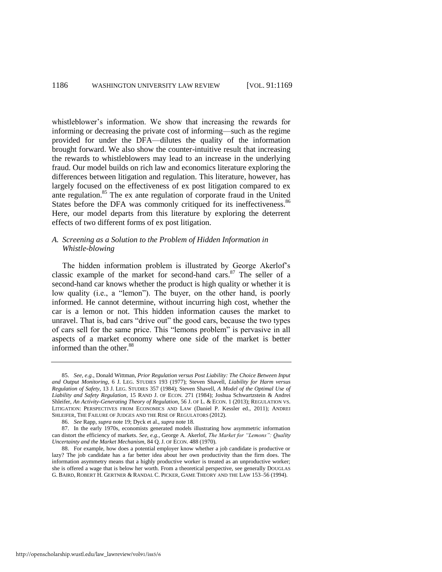whistleblower's information. We show that increasing the rewards for informing or decreasing the private cost of informing—such as the regime provided for under the DFA—dilutes the quality of the information brought forward. We also show the counter-intuitive result that increasing the rewards to whistleblowers may lead to an increase in the underlying fraud. Our model builds on rich law and economics literature exploring the differences between litigation and regulation. This literature, however, has largely focused on the effectiveness of ex post litigation compared to ex ante regulation.<sup>85</sup> The ex ante regulation of corporate fraud in the United States before the DFA was commonly critiqued for its ineffectiveness.<sup>86</sup> Here, our model departs from this literature by exploring the deterrent effects of two different forms of ex post litigation.

# *A. Screening as a Solution to the Problem of Hidden Information in Whistle-blowing*

The hidden information problem is illustrated by George Akerlof's classic example of the market for second-hand cars.<sup>87</sup> The seller of a second-hand car knows whether the product is high quality or whether it is low quality (i.e., a "lemon"). The buyer, on the other hand, is poorly informed. He cannot determine, without incurring high cost, whether the car is a lemon or not. This hidden information causes the market to unravel. That is, bad cars "drive out" the good cars, because the two types of cars sell for the same price. This "lemons problem" is pervasive in all aspects of a market economy where one side of the market is better informed than the other.<sup>88</sup>

<sup>85.</sup> *See, e.g.*, Donald Wittman, *Prior Regulation versus Post Liability: The Choice Between Input and Output Monitoring*, 6 J. LEG. STUDIES 193 (1977); Steven Shavell, *Liability for Harm versus Regulation of Safety*, 13 J. LEG. STUDIES 357 (1984); Steven Shavell, *A Model of the Optimal Use of Liability and Safety Regulation*, 15 RAND J. OF ECON*.* 271 (1984); Joshua Schwartzstein & Andrei Shleifer, *An Activity-Generating Theory of Regulation*, 56 J. OF L. & ECON. 1 (2013); REGULATION VS. LITIGATION: PERSPECTIVES FROM ECONOMICS AND LAW (Daniel P. Kessler ed., 2011); ANDREI SHLEIFER, THE FAILURE OF JUDGES AND THE RISE OF REGULATORS (2012).

<sup>86.</sup> *See* Rapp, *supra* not[e 19;](#page-5-1) Dyck et al., *supra* not[e 18.](#page-5-0) 

<sup>87.</sup> In the early 1970s, economists generated models illustrating how asymmetric information can distort the efficiency of markets. *See, e.g.*, George A. Akerlof, *The Market for "Lemons": Quality Uncertainty and the Market Mechanism*, 84 Q. J. OF ECON. 488 (1970).

<sup>88.</sup> For example, how does a potential employer know whether a job candidate is productive or lazy? The job candidate has a far better idea about her own productivity than the firm does. The information asymmetry means that a highly productive worker is treated as an unproductive worker; she is offered a wage that is below her worth. From a theoretical perspective, see generally DOUGLAS G. BAIRD, ROBERT H. GERTNER & RANDAL C. PICKER, GAME THEORY AND THE LAW 153–56 (1994).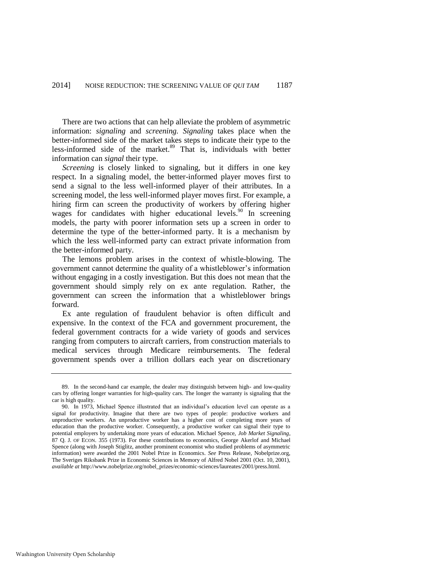There are two actions that can help alleviate the problem of asymmetric information: *signaling* and *screening. Signaling* takes place when the better-informed side of the market takes steps to indicate their type to the less-informed side of the market. $89$  That is, individuals with better information can *signal* their type.

*Screening* is closely linked to signaling, but it differs in one key respect. In a signaling model, the better-informed player moves first to send a signal to the less well-informed player of their attributes. In a screening model, the less well-informed player moves first. For example, a hiring firm can screen the productivity of workers by offering higher wages for candidates with higher educational levels.<sup>90</sup> In screening models, the party with poorer information sets up a screen in order to determine the type of the better-informed party. It is a mechanism by which the less well-informed party can extract private information from the better-informed party.

The lemons problem arises in the context of whistle-blowing. The government cannot determine the quality of a whistleblower's information without engaging in a costly investigation. But this does not mean that the government should simply rely on ex ante regulation. Rather, the government can screen the information that a whistleblower brings forward.

Ex ante regulation of fraudulent behavior is often difficult and expensive. In the context of the FCA and government procurement, the federal government contracts for a wide variety of goods and services ranging from computers to aircraft carriers, from construction materials to medical services through Medicare reimbursements. The federal government spends over a trillion dollars each year on discretionary

<sup>89.</sup> In the second-hand car example, the dealer may distinguish between high- and low-quality cars by offering longer warranties for high-quality cars. The longer the warranty is signaling that the car is high quality.

<sup>90.</sup> In 1973, Michael Spence illustrated that an individual's education level can operate as a signal for productivity. Imagine that there are two types of people: productive workers and unproductive workers. An unproductive worker has a higher cost of completing more years of education than the productive worker. Consequently, a productive worker can signal their type to potential employers by undertaking more years of education. Michael Spence, *Job Market Signaling*, 87 Q. J. OF ECON. 355 (1973). For these contributions to economics, George Akerlof and Michael Spence (along with Joseph Stiglitz, another prominent economist who studied problems of asymmetric information) were awarded the 2001 Nobel Prize in Economics. *See* Press Release, Nobelprize.org, The Sveriges Riksbank Prize in Economic Sciences in Memory of Alfred Nobel 2001 (Oct. 10, 2001), *available at* http://www.nobelprize.org/nobel\_prizes/economic-sciences/laureates/2001/press.html.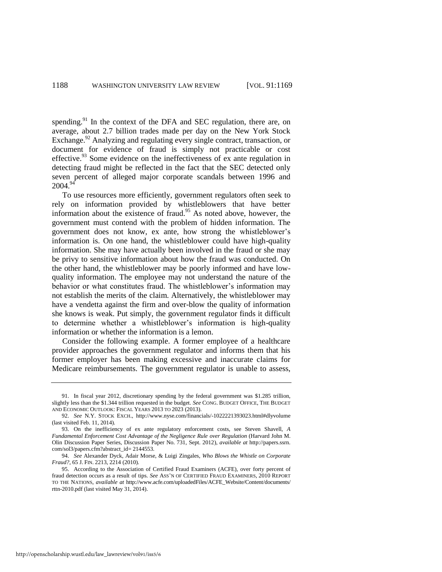spending.<sup>91</sup> In the context of the DFA and SEC regulation, there are, on average, about 2.7 billion trades made per day on the New York Stock Exchange.<sup>92</sup> Analyzing and regulating every single contract, transaction, or document for evidence of fraud is simply not practicable or cost effective.<sup>93</sup> Some evidence on the ineffectiveness of ex ante regulation in detecting fraud might be reflected in the fact that the SEC detected only seven percent of alleged major corporate scandals between 1996 and 2004.<sup>94</sup>

To use resources more efficiently, government regulators often seek to rely on information provided by whistleblowers that have better information about the existence of fraud.<sup>95</sup> As noted above, however, the government must contend with the problem of hidden information. The government does not know, ex ante, how strong the whistleblower's information is. On one hand, the whistleblower could have high-quality information. She may have actually been involved in the fraud or she may be privy to sensitive information about how the fraud was conducted. On the other hand, the whistleblower may be poorly informed and have lowquality information. The employee may not understand the nature of the behavior or what constitutes fraud. The whistleblower's information may not establish the merits of the claim. Alternatively, the whistleblower may have a vendetta against the firm and over-blow the quality of information she knows is weak. Put simply, the government regulator finds it difficult to determine whether a whistleblower's information is high-quality information or whether the information is a lemon.

Consider the following example. A former employee of a healthcare provider approaches the government regulator and informs them that his former employer has been making excessive and inaccurate claims for Medicare reimbursements. The government regulator is unable to assess,

http://openscholarship.wustl.edu/law\_lawreview/vol91/iss5/6

<sup>91.</sup> In fiscal year 2012, discretionary spending by the federal government was \$1.285 trillion, slightly less than the \$1.344 trillion requested in the budget. *See* CONG. BUDGET OFFICE, THE BUDGET AND ECONOMIC OUTLOOK: FISCAL YEARS 2013 TO 2023 (2013).

<sup>92.</sup> *See* N.Y. STOCK EXCH., http://www.nyse.com/financials/-1022221393023.html#dlyvolume (last visited Feb. 11, 2014).

<sup>93.</sup> On the inefficiency of ex ante regulatory enforcement costs, see Steven Shavell, *A Fundamental Enforcement Cost Advantage of the Negligence Rule over Regulation* (Harvard John M. Olin Discussion Paper Series, Discussion Paper No. 731, Sept. 2012), *available at* http://papers.ssrn. com/sol3/papers.cfm?abstract\_id= 2144553.

<sup>94.</sup> *See* Alexander Dyck, Adair Morse, & Luigi Zingales, *Who Blows the Whistle on Corporate Fraud?*, 65 J. FIN. 2213, 2214 (2010).

<sup>95.</sup> According to the Association of Certified Fraud Examiners (ACFE), over forty percent of fraud detection occurs as a result of tips. *See* ASS'N OF CERTIFIED FRAUD EXAMINERS, 2010 REPORT TO THE NATIONS, *available at* http://www.acfe.com/uploadedFiles/ACFE\_Website/Content/documents/ rttn-2010.pdf (last visited May 31, 2014).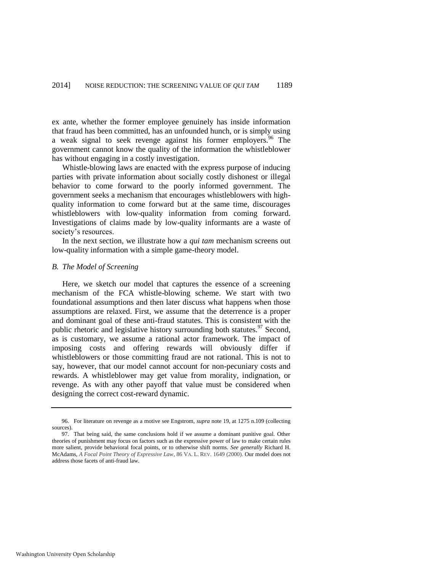ex ante, whether the former employee genuinely has inside information that fraud has been committed, has an unfounded hunch, or is simply using a weak signal to seek revenge against his former employers.<sup>96</sup> The government cannot know the quality of the information the whistleblower has without engaging in a costly investigation.

Whistle-blowing laws are enacted with the express purpose of inducing parties with private information about socially costly dishonest or illegal behavior to come forward to the poorly informed government. The government seeks a mechanism that encourages whistleblowers with highquality information to come forward but at the same time, discourages whistleblowers with low-quality information from coming forward. Investigations of claims made by low-quality informants are a waste of society's resources.

In the next section, we illustrate how a *qui tam* mechanism screens out low-quality information with a simple game-theory model.

## *B. The Model of Screening*

Here, we sketch our model that captures the essence of a screening mechanism of the FCA whistle-blowing scheme. We start with two foundational assumptions and then later discuss what happens when those assumptions are relaxed. First, we assume that the deterrence is a proper and dominant goal of these anti-fraud statutes. This is consistent with the public rhetoric and legislative history surrounding both statutes.<sup>97</sup> Second, as is customary, we assume a rational actor framework. The impact of imposing costs and offering rewards will obviously differ if whistleblowers or those committing fraud are not rational. This is not to say, however, that our model cannot account for non-pecuniary costs and rewards. A whistleblower may get value from morality, indignation, or revenge. As with any other payoff that value must be considered when designing the correct cost-reward dynamic.

<sup>96.</sup> For literature on revenge as a motive see Engstrom, *supra* note [19,](#page-5-1) at 1275 n.109 (collecting sources).

<sup>97.</sup> That being said, the same conclusions hold if we assume a dominant punitive goal. Other theories of punishment may focus on factors such as the expressive power of law to make certain rules more salient, provide behavioral focal points, or to otherwise shift norms. *See generally* Richard H. McAdams, *A Focal Point Theory of Expressive Law*, 86 VA. L. REV. 1649 (2000). Our model does not address those facets of anti-fraud law.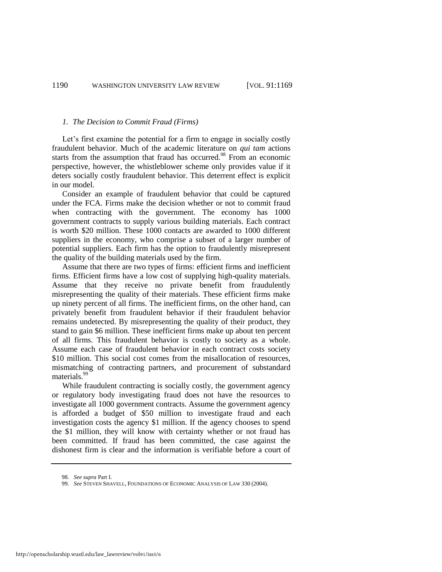#### *1. The Decision to Commit Fraud (Firms)*

Let's first examine the potential for a firm to engage in socially costly fraudulent behavior. Much of the academic literature on *qui tam* actions starts from the assumption that fraud has occurred.<sup>98</sup> From an economic perspective, however, the whistleblower scheme only provides value if it deters socially costly fraudulent behavior. This deterrent effect is explicit in our model.

Consider an example of fraudulent behavior that could be captured under the FCA. Firms make the decision whether or not to commit fraud when contracting with the government. The economy has 1000 government contracts to supply various building materials. Each contract is worth \$20 million. These 1000 contacts are awarded to 1000 different suppliers in the economy, who comprise a subset of a larger number of potential suppliers. Each firm has the option to fraudulently misrepresent the quality of the building materials used by the firm.

Assume that there are two types of firms: efficient firms and inefficient firms. Efficient firms have a low cost of supplying high-quality materials. Assume that they receive no private benefit from fraudulently misrepresenting the quality of their materials. These efficient firms make up ninety percent of all firms. The inefficient firms, on the other hand, can privately benefit from fraudulent behavior if their fraudulent behavior remains undetected. By misrepresenting the quality of their product, they stand to gain \$6 million. These inefficient firms make up about ten percent of all firms. This fraudulent behavior is costly to society as a whole. Assume each case of fraudulent behavior in each contract costs society \$10 million. This social cost comes from the misallocation of resources, mismatching of contracting partners, and procurement of substandard materials.<sup>99</sup>

<span id="page-22-0"></span>While fraudulent contracting is socially costly, the government agency or regulatory body investigating fraud does not have the resources to investigate all 1000 government contracts. Assume the government agency is afforded a budget of \$50 million to investigate fraud and each investigation costs the agency \$1 million. If the agency chooses to spend the \$1 million, they will know with certainty whether or not fraud has been committed. If fraud has been committed, the case against the dishonest firm is clear and the information is verifiable before a court of

<sup>98.</sup> *See supra* Part I.

<sup>99.</sup> *See* STEVEN SHAVELL, FOUNDATIONS OF ECONOMIC ANALYSIS OF LAW 330 (2004).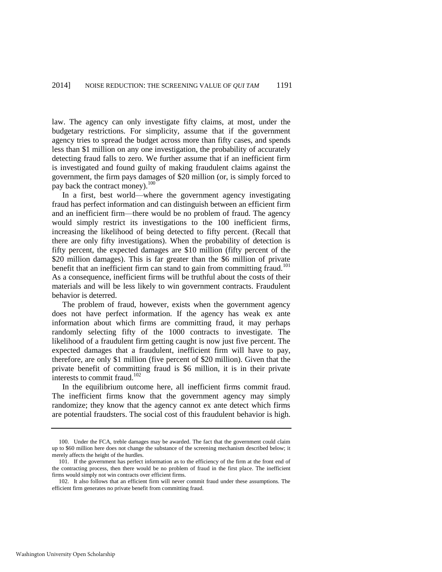law. The agency can only investigate fifty claims, at most, under the budgetary restrictions. For simplicity, assume that if the government agency tries to spread the budget across more than fifty cases, and spends less than \$1 million on any one investigation, the probability of accurately detecting fraud falls to zero. We further assume that if an inefficient firm is investigated and found guilty of making fraudulent claims against the government, the firm pays damages of \$20 million (or, is simply forced to pay back the contract money).<sup>100</sup>

In a first, best world—where the government agency investigating fraud has perfect information and can distinguish between an efficient firm and an inefficient firm—there would be no problem of fraud. The agency would simply restrict its investigations to the 100 inefficient firms, increasing the likelihood of being detected to fifty percent. (Recall that there are only fifty investigations). When the probability of detection is fifty percent, the expected damages are \$10 million (fifty percent of the \$20 million damages). This is far greater than the \$6 million of private benefit that an inefficient firm can stand to gain from committing fraud.<sup>101</sup> As a consequence, inefficient firms will be truthful about the costs of their materials and will be less likely to win government contracts. Fraudulent behavior is deterred.

The problem of fraud, however, exists when the government agency does not have perfect information. If the agency has weak ex ante information about which firms are committing fraud, it may perhaps randomly selecting fifty of the 1000 contracts to investigate. The likelihood of a fraudulent firm getting caught is now just five percent. The expected damages that a fraudulent, inefficient firm will have to pay, therefore, are only \$1 million (five percent of \$20 million). Given that the private benefit of committing fraud is \$6 million, it is in their private interests to commit fraud.<sup>102</sup>

In the equilibrium outcome here, all inefficient firms commit fraud. The inefficient firms know that the government agency may simply randomize; they know that the agency cannot ex ante detect which firms are potential fraudsters. The social cost of this fraudulent behavior is high.

<sup>100.</sup> Under the FCA, treble damages may be awarded. The fact that the government could claim up to \$60 million here does not change the substance of the screening mechanism described below; it merely affects the height of the hurdles.

<sup>101.</sup> If the government has perfect information as to the efficiency of the firm at the front end of the contracting process, then there would be no problem of fraud in the first place. The inefficient firms would simply not win contracts over efficient firms.

<sup>102.</sup> It also follows that an efficient firm will never commit fraud under these assumptions. The efficient firm generates no private benefit from committing fraud.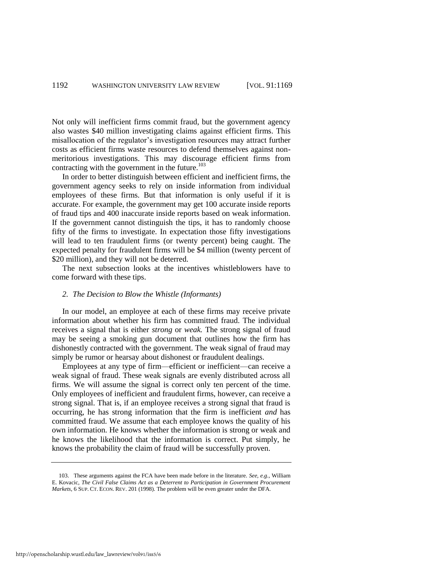Not only will inefficient firms commit fraud, but the government agency also wastes \$40 million investigating claims against efficient firms. This misallocation of the regulator's investigation resources may attract further costs as efficient firms waste resources to defend themselves against nonmeritorious investigations. This may discourage efficient firms from contracting with the government in the future.<sup>103</sup>

In order to better distinguish between efficient and inefficient firms, the government agency seeks to rely on inside information from individual employees of these firms. But that information is only useful if it is accurate. For example, the government may get 100 accurate inside reports of fraud tips and 400 inaccurate inside reports based on weak information. If the government cannot distinguish the tips, it has to randomly choose fifty of the firms to investigate. In expectation those fifty investigations will lead to ten fraudulent firms (or twenty percent) being caught. The expected penalty for fraudulent firms will be \$4 million (twenty percent of \$20 million), and they will not be deterred.

The next subsection looks at the incentives whistleblowers have to come forward with these tips.

# *2. The Decision to Blow the Whistle (Informants)*

In our model, an employee at each of these firms may receive private information about whether his firm has committed fraud. The individual receives a signal that is either *strong* or *weak.* The strong signal of fraud may be seeing a smoking gun document that outlines how the firm has dishonestly contracted with the government. The weak signal of fraud may simply be rumor or hearsay about dishonest or fraudulent dealings.

Employees at any type of firm—efficient or inefficient—can receive a weak signal of fraud. These weak signals are evenly distributed across all firms. We will assume the signal is correct only ten percent of the time. Only employees of inefficient and fraudulent firms, however, can receive a strong signal. That is, if an employee receives a strong signal that fraud is occurring, he has strong information that the firm is inefficient *and* has committed fraud. We assume that each employee knows the quality of his own information. He knows whether the information is strong or weak and he knows the likelihood that the information is correct. Put simply, he knows the probability the claim of fraud will be successfully proven.

<sup>103.</sup> These arguments against the FCA have been made before in the literature. *See, e.g.*, William E. Kovacic, *The Civil False Claims Act as a Deterrent to Participation in Government Procurement Markets*, 6 SUP. CT. ECON. REV. 201 (1998). The problem will be even greater under the DFA.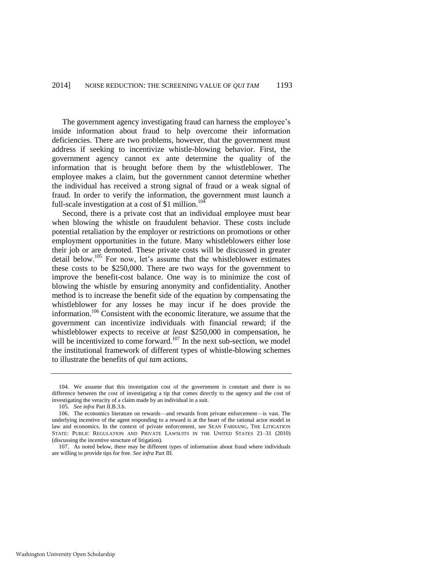The government agency investigating fraud can harness the employee's inside information about fraud to help overcome their information deficiencies. There are two problems, however, that the government must address if seeking to incentivize whistle-blowing behavior. First, the government agency cannot ex ante determine the quality of the information that is brought before them by the whistleblower. The employee makes a claim, but the government cannot determine whether the individual has received a strong signal of fraud or a weak signal of fraud. In order to verify the information, the government must launch a full-scale investigation at a cost of \$1 million.<sup>104</sup>

Second, there is a private cost that an individual employee must bear when blowing the whistle on fraudulent behavior. These costs include potential retaliation by the employer or restrictions on promotions or other employment opportunities in the future. Many whistleblowers either lose their job or are demoted. These private costs will be discussed in greater detail below.<sup>105</sup> For now, let's assume that the whistleblower estimates these costs to be \$250,000. There are two ways for the government to improve the benefit-cost balance. One way is to minimize the cost of blowing the whistle by ensuring anonymity and confidentiality. Another method is to increase the benefit side of the equation by compensating the whistleblower for any losses he may incur if he does provide the information.<sup>106</sup> Consistent with the economic literature, we assume that the government can incentivize individuals with financial reward; if the whistleblower expects to receive *at least* \$250,000 in compensation, he will be incentivized to come forward. $107$  In the next sub-section, we model the institutional framework of different types of whistle-blowing schemes to illustrate the benefits of *qui tam* actions.

<sup>104.</sup> We assume that this investigation cost of the government is constant and there is no difference between the cost of investigating a tip that comes directly to the agency and the cost of investigating the veracity of a claim made by an individual in a suit.

<sup>105.</sup> *See infra* Part II.B.3.b.

<sup>106.</sup> The economics literature on rewards—and rewards from private enforcement—is vast. The underlying incentive of the agent responding to a reward is at the heart of the rational actor model in law and economics. In the context of private enforcement, see SEAN FARHANG, THE LITIGATION STATE: PUBLIC REGULATION AND PRIVATE LAWSUITS IN THE UNITED STATES 21–31 (2010) (discussing the incentive structure of litigation).

<sup>107.</sup> As noted below, there may be different types of information about fraud where individuals are willing to provide tips for free. *See infra* Part III.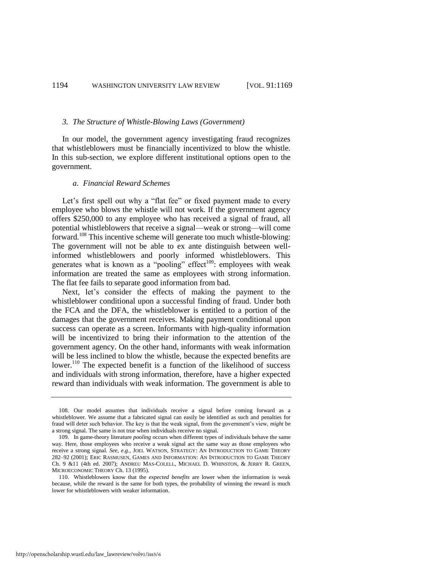#### *3. The Structure of Whistle-Blowing Laws (Government)*

In our model, the government agency investigating fraud recognizes that whistleblowers must be financially incentivized to blow the whistle. In this sub-section, we explore different institutional options open to the government.

# *a. Financial Reward Schemes*

Let's first spell out why a "flat fee" or fixed payment made to every employee who blows the whistle will not work. If the government agency offers \$250,000 to any employee who has received a signal of fraud, all potential whistleblowers that receive a signal—weak or strong—will come forward.<sup>108</sup> This incentive scheme will generate too much whistle-blowing: The government will not be able to ex ante distinguish between wellinformed whistleblowers and poorly informed whistleblowers. This generates what is known as a "pooling" effect<sup>109</sup>: employees with weak information are treated the same as employees with strong information. The flat fee fails to separate good information from bad.

Next, let's consider the effects of making the payment to the whistleblower conditional upon a successful finding of fraud. Under both the FCA and the DFA, the whistleblower is entitled to a portion of the damages that the government receives. Making payment conditional upon success can operate as a screen. Informants with high-quality information will be incentivized to bring their information to the attention of the government agency. On the other hand, informants with weak information will be less inclined to blow the whistle, because the expected benefits are lower.<sup>110</sup> The expected benefit is a function of the likelihood of success and individuals with strong information, therefore, have a higher expected reward than individuals with weak information. The government is able to

<sup>108.</sup> Our model assumes that individuals receive a signal before coming forward as a whistleblower. We assume that a fabricated signal can easily be identified as such and penalties for fraud will deter such behavior. The key is that the weak signal, from the government's view, *might* be a strong signal. The same is not true when individuals receive no signal.

<sup>109.</sup> In game-theory literature *pooling* occurs when different types of individuals behave the same way. Here, those employees who receive a weak signal act the same way as those employees who receive a strong signal. *See, e.g.*, JOEL WATSON, STRATEGY: AN INTRODUCTION TO GAME THEORY 282–92 (2001); ERIC RASMUSEN, GAMES AND INFORMATION: AN INTRODUCTION TO GAME THEORY Ch. 9 &11 (4th ed. 2007); ANDREU MAS-COLELL, MICHAEL D. WHINSTON, & JERRY R. GREEN, MICROECONOMIC THEORY Ch. 13 (1995).

<sup>110.</sup> Whistleblowers know that the *expected benefits* are lower when the information is weak because, while the reward is the same for both types, the probability of winning the reward is much lower for whistleblowers with weaker information.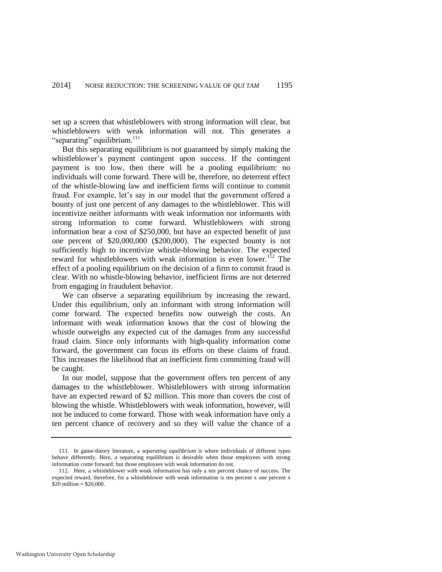set up a screen that whistleblowers with strong information will clear, but whistleblowers with weak information will not. This generates a "separating" equilibrium.<sup>111</sup>

But this separating equilibrium is not guaranteed by simply making the whistleblower's payment contingent upon success. If the contingent payment is too low, then there will be a pooling equilibrium: no individuals will come forward. There will be, therefore, no deterrent effect of the whistle-blowing law and inefficient firms will continue to commit fraud. For example, let's say in our model that the government offered a bounty of just one percent of any damages to the whistleblower. This will incentivize neither informants with weak information nor informants with strong information to come forward. Whistleblowers with strong information bear a cost of \$250,000, but have an expected benefit of just one percent of \$20,000,000 (\$200,000). The expected bounty is not sufficiently high to incentivize whistle-blowing behavior. The expected reward for whistleblowers with weak information is even lower.<sup>112</sup> The effect of a pooling equilibrium on the decision of a firm to commit fraud is clear. With no whistle-blowing behavior, inefficient firms are not deterred from engaging in fraudulent behavior.

We can observe a separating equilibrium by increasing the reward. Under this equilibrium, only an informant with strong information will come forward. The expected benefits now outweigh the costs. An informant with weak information knows that the cost of blowing the whistle outweighs any expected cut of the damages from any successful fraud claim. Since only informants with high-quality information come forward, the government can focus its efforts on these claims of fraud. This increases the likelihood that an inefficient firm committing fraud will be caught.

In our model, suppose that the government offers ten percent of any damages to the whistleblower. Whistleblowers with strong information have an expected reward of \$2 million. This more than covers the cost of blowing the whistle. Whistleblowers with weak information, however, will not be induced to come forward. Those with weak information have only a ten percent chance of recovery and so they will value the chance of a

<sup>111.</sup> In game-theory literature, a *separating equilibrium* is where individuals of different types behave differently. Here, a separating equilibrium is desirable when those employees with strong information come forward; but those employees with weak information do not.

<sup>112.</sup> Here, a whistleblower with weak information has only a ten percent chance of success. The expected reward, therefore, for a whistleblower with weak information is ten percent x one percent x  $$20$  million = \$20,000.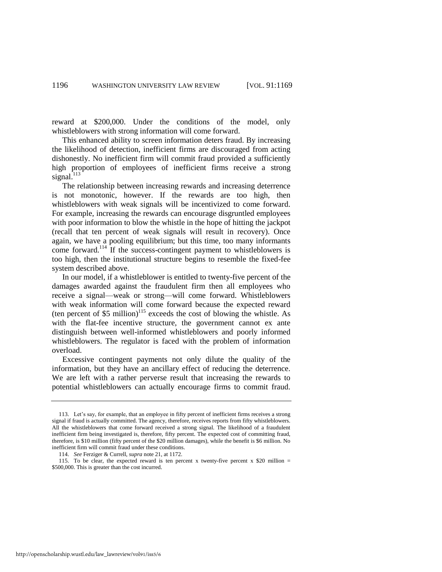reward at \$200,000. Under the conditions of the model, only whistleblowers with strong information will come forward.

This enhanced ability to screen information deters fraud. By increasing the likelihood of detection, inefficient firms are discouraged from acting dishonestly. No inefficient firm will commit fraud provided a sufficiently high proportion of employees of inefficient firms receive a strong signal. $113$ 

The relationship between increasing rewards and increasing deterrence is not monotonic, however. If the rewards are too high, then whistleblowers with weak signals will be incentivized to come forward. For example, increasing the rewards can encourage disgruntled employees with poor information to blow the whistle in the hope of hitting the jackpot (recall that ten percent of weak signals will result in recovery). Once again, we have a pooling equilibrium; but this time, too many informants come forward.<sup>114</sup> If the success-contingent payment to whistleblowers is too high, then the institutional structure begins to resemble the fixed-fee system described above.

In our model, if a whistleblower is entitled to twenty-five percent of the damages awarded against the fraudulent firm then all employees who receive a signal—weak or strong—will come forward. Whistleblowers with weak information will come forward because the expected reward (ten percent of  $$5$  million)<sup>115</sup> exceeds the cost of blowing the whistle. As with the flat-fee incentive structure, the government cannot ex ante distinguish between well-informed whistleblowers and poorly informed whistleblowers. The regulator is faced with the problem of information overload.

Excessive contingent payments not only dilute the quality of the information, but they have an ancillary effect of reducing the deterrence. We are left with a rather perverse result that increasing the rewards to potential whistleblowers can actually encourage firms to commit fraud.

http://openscholarship.wustl.edu/law\_lawreview/vol91/iss5/6

<sup>113.</sup> Let's say, for example, that an employee in fifty percent of inefficient firms receives a strong signal if fraud is actually committed. The agency, therefore, receives reports from fifty whistleblowers. All the whistleblowers that come forward received a strong signal. The likelihood of a fraudulent inefficient firm being investigated is, therefore, fifty percent. The expected cost of committing fraud, therefore, is \$10 million (fifty percent of the \$20 million damages), while the benefit is \$6 million. No inefficient firm will commit fraud under these conditions.

<sup>114.</sup> *See* Ferziger & Currell, *supra* not[e 21,](#page-5-2) at 1172.

<sup>115.</sup> To be clear, the expected reward is ten percent x twenty-five percent x \$20 million  $=$ \$500,000. This is greater than the cost incurred.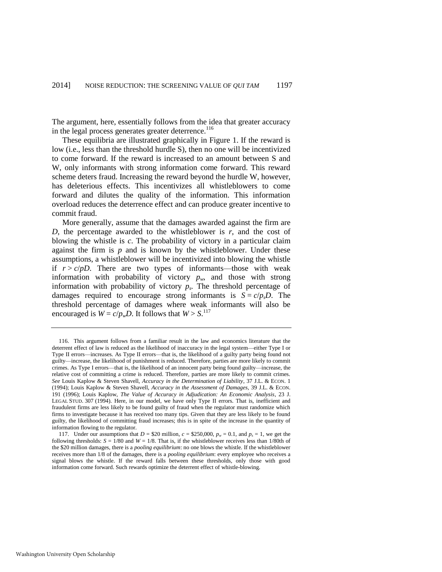The argument, here, essentially follows from the idea that greater accuracy in the legal process generates greater deterrence. $116$ 

These equilibria are illustrated graphically in Figure 1. If the reward is low (i.e., less than the threshold hurdle S), then no one will be incentivized to come forward. If the reward is increased to an amount between S and W, only informants with strong information come forward. This reward scheme deters fraud. Increasing the reward beyond the hurdle W, however, has deleterious effects. This incentivizes all whistleblowers to come forward and dilutes the quality of the information. This information overload reduces the deterrence effect and can produce greater incentive to commit fraud.

More generally, assume that the damages awarded against the firm are *D*, the percentage awarded to the whistleblower is *r*, and the cost of blowing the whistle is *c*. The probability of victory in a particular claim against the firm is *p* and is known by the whistleblower. Under these assumptions, a whistleblower will be incentivized into blowing the whistle if  $r > c/pD$ . There are two types of informants—those with weak information with probability of victory  $p_w$ , and those with strong information with probability of victory  $p_s$ . The threshold percentage of damages required to encourage strong informants is  $S = c/p<sub>s</sub>D$ . The threshold percentage of damages where weak informants will also be encouraged is  $W = c/p_w D$ . It follows that  $W > S$ .<sup>117</sup>

<sup>116.</sup> This argument follows from a familiar result in the law and economics literature that the deterrent effect of law is reduced as the likelihood of inaccuracy in the legal system—either Type I or Type II errors—increases. As Type II errors—that is, the likelihood of a guilty party being found not guilty—increase, the likelihood of punishment is reduced. Therefore, parties are more likely to commit crimes. As Type I errors—that is, the likelihood of an innocent party being found guilty—increase, the relative cost of committing a crime is reduced. Therefore, parties are more likely to commit crimes. *See* Louis Kaplow & Steven Shavell, *Accuracy in the Determination of Liability*, 37 J.L. & ECON. 1 (1994); Louis Kaplow & Steven Shavell, *Accuracy in the Assessment of Damages,* 39 J.L. & ECON. 191 (1996); Louis Kaplow, *The Value of Accuracy in Adjudication: An Economic Analysis*, 23 J. LEGAL STUD. 307 (1994). Here, in our model, we have only Type II errors. That is, inefficient and fraudulent firms are less likely to be found guilty of fraud when the regulator must randomize which firms to investigate because it has received too many tips. Given that they are less likely to be found guilty, the likelihood of committing fraud increases; this is in spite of the increase in the quantity of information flowing to the regulator.

<sup>117.</sup> Under our assumptions that  $D = $20$  million,  $c = $250,000$ ,  $p_w = 0.1$ , and  $p_s = 1$ , we get the following thresholds:  $S = 1/80$  and  $W = 1/8$ . That is, if the whistleblower receives less than 1/80th of the \$20 million damages, there is a *pooling equilibrium*: no one blows the whistle. If the whistleblower receives more than 1/8 of the damages, there is a *pooling equilibrium*: every employee who receives a signal blows the whistle. If the reward falls between these thresholds, only those with good information come forward. Such rewards optimize the deterrent effect of whistle-blowing.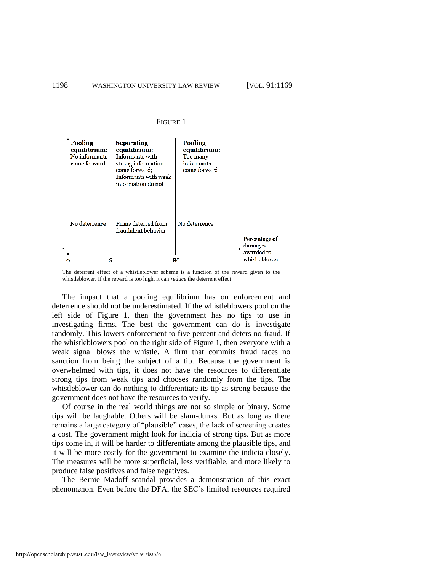#### FIGURE 1

| Pooling<br>equilibrium:<br>No informants<br>come forward | <b>Separating</b><br>equilibrium:<br>Informants with<br>strong information<br>come forward;<br>Informants with weak<br>information do not | Pooling<br>equilibrium:<br>Too many<br>informants<br>come forward |                             |
|----------------------------------------------------------|-------------------------------------------------------------------------------------------------------------------------------------------|-------------------------------------------------------------------|-----------------------------|
| No deterrence                                            | Firms deterred from<br>fraudulent behavior                                                                                                | No deterrence                                                     | Percentage of<br>damages    |
|                                                          |                                                                                                                                           |                                                                   | awarded to<br>whistleblower |

The deterrent effect of a whistleblower scheme is a function of the reward given to the whistleblower. If the reward is too high, it can *reduce* the deterrent effect.

The impact that a pooling equilibrium has on enforcement and deterrence should not be underestimated. If the whistleblowers pool on the left side of Figure 1, then the government has no tips to use in investigating firms. The best the government can do is investigate randomly. This lowers enforcement to five percent and deters no fraud. If the whistleblowers pool on the right side of Figure 1, then everyone with a weak signal blows the whistle. A firm that commits fraud faces no sanction from being the subject of a tip. Because the government is overwhelmed with tips, it does not have the resources to differentiate strong tips from weak tips and chooses randomly from the tips. The whistleblower can do nothing to differentiate its tip as strong because the government does not have the resources to verify.

Of course in the real world things are not so simple or binary. Some tips will be laughable. Others will be slam-dunks. But as long as there remains a large category of "plausible" cases, the lack of screening creates a cost. The government might look for indicia of strong tips. But as more tips come in, it will be harder to differentiate among the plausible tips, and it will be more costly for the government to examine the indicia closely. The measures will be more superficial, less verifiable, and more likely to produce false positives and false negatives.

The Bernie Madoff scandal provides a demonstration of this exact phenomenon. Even before the DFA, the SEC's limited resources required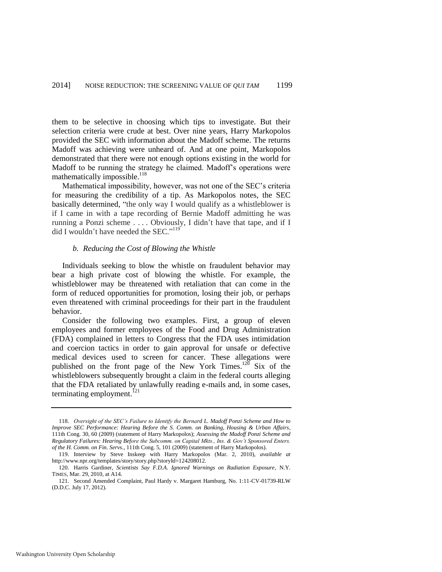them to be selective in choosing which tips to investigate. But their selection criteria were crude at best. Over nine years, Harry Markopolos provided the SEC with information about the Madoff scheme. The returns Madoff was achieving were unheard of. And at one point, Markopolos demonstrated that there were not enough options existing in the world for Madoff to be running the strategy he claimed. Madoff's operations were mathematically impossible. $^{118}$ 

Mathematical impossibility, however, was not one of the SEC's criteria for measuring the credibility of a tip. As Markopolos notes, the SEC basically determined, "the only way I would qualify as a whistleblower is if I came in with a tape recording of Bernie Madoff admitting he was running a Ponzi scheme . . . . Obviously, I didn't have that tape, and if I did I wouldn't have needed the SEC."<sup>119</sup>

#### *b. Reducing the Cost of Blowing the Whistle*

Individuals seeking to blow the whistle on fraudulent behavior may bear a high private cost of blowing the whistle. For example, the whistleblower may be threatened with retaliation that can come in the form of reduced opportunities for promotion, losing their job, or perhaps even threatened with criminal proceedings for their part in the fraudulent behavior.

Consider the following two examples. First, a group of eleven employees and former employees of the Food and Drug Administration (FDA) complained in letters to Congress that the FDA uses intimidation and coercion tactics in order to gain approval for unsafe or defective medical devices used to screen for cancer. These allegations were published on the front page of the New York Times.<sup>120</sup> Six of the whistleblowers subsequently brought a claim in the federal courts alleging that the FDA retaliated by unlawfully reading e-mails and, in some cases, terminating employment.<sup>121</sup>

<sup>118.</sup> *Oversight of the SEC's Failure to Identify the Bernard L. Madoff Ponzi Scheme and How to Improve SEC Performance: Hearing Before the S. Comm. on Banking, Housing & Urban Affairs*, 111th Cong. 30, 60 (2009) (statement of Harry Markopolos); *Assessing the Madoff Ponzi Scheme and Regulatory Failures: Hearing Before the Subcomm. on Capital Mkts., Ins. & Gov't Sponsored Enters. of the H. Comm. on Fin. Servs.*, 111th Cong. 5, 101 (2009) (statement of Harry Markopolos).

<sup>119.</sup> Interview by Steve Inskeep with Harry Markopolos (Mar. 2, 2010), *available at* http://www.npr.org/templates/story/story.php?storyId=124208012.

<sup>120.</sup> Harris Gardiner, *Scientists Say F.D.A. Ignored Warnings on Radiation Exposure*, N.Y. TIMES*,* Mar. 29, 2010, at A14.

<sup>121.</sup> Second Amended Complaint, Paul Hardy v. Margaret Hamburg, No. 1:11-CV-01739-RLW (D.D.C. July 17, 2012).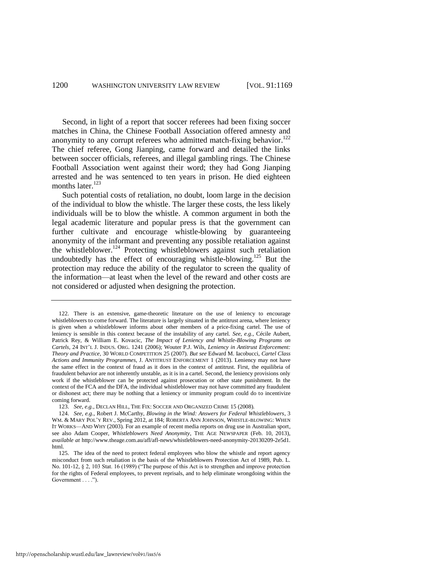Second, in light of a report that soccer referees had been fixing soccer matches in China, the Chinese Football Association offered amnesty and anonymity to any corrupt referees who admitted match-fixing behavior.<sup>122</sup> The chief referee, Gong Jianping, came forward and detailed the links between soccer officials, referees, and illegal gambling rings. The Chinese Football Association went against their word; they had Gong Jianping arrested and he was sentenced to ten years in prison. He died eighteen months later.<sup>123</sup>

Such potential costs of retaliation, no doubt, loom large in the decision of the individual to blow the whistle. The larger these costs, the less likely individuals will be to blow the whistle. A common argument in both the legal academic literature and popular press is that the government can further cultivate and encourage whistle-blowing by guaranteeing anonymity of the informant and preventing any possible retaliation against the whistleblower.<sup>124</sup> Protecting whistleblowers against such retaliation undoubtedly has the effect of encouraging whistle-blowing.<sup>125</sup> But the protection may reduce the ability of the regulator to screen the quality of the information—at least when the level of the reward and other costs are not considered or adjusted when designing the protection.

<sup>122.</sup> There is an extensive, game-theoretic literature on the use of leniency to encourage whistleblowers to come forward. The literature is largely situated in the antitrust arena, where leniency is given when a whistleblower informs about other members of a price-fixing cartel. The use of leniency is sensible in this context because of the instability of any cartel. *See, e.g.*, Cécile Aubert, Patrick Rey, & William E. Kovacic, *The Impact of Leniency and Whistle-Blowing Programs on Cartels*, 24 INT'L J. INDUS. ORG. 1241 (2006); Wouter P.J. Wils, *Leniency in Antitrust Enforcement: Theory and Practice*, 30 WORLD COMPETITION 25 (2007). *But see* Edward M. Iacobucci, *Cartel Class Actions and Immunity Programmes*, J. ANTITRUST ENFORCEMENT 1 (2013). Leniency may not have the same effect in the context of fraud as it does in the context of antitrust. First, the equilibria of fraudulent behavior are not inherently unstable, as it is in a cartel. Second, the leniency provisions only work if the whistleblower can be protected against prosecution or other state punishment. In the context of the FCA and the DFA, the individual whistleblower may not have committed any fraudulent or dishonest act; there may be nothing that a leniency or immunity program could do to incentivize coming forward.

<sup>123.</sup> *See, e.g.*, DECLAN HILL, THE FIX: SOCCER AND ORGANIZED CRIME 15 (2008)*.* 

<sup>124.</sup> *See, e.g.*, Robert J. McCarthy, *Blowing in the Wind: Answers for Federal Whistleblowers*, 3 WM. & MARY POL'Y REV., Spring 2012, at 184; ROBERTA ANN JOHNSON, WHISTLE-BLOWING: WHEN IT WORKS—AND WHY (2003)*.* For an example of recent media reports on drug use in Australian sport, see also Adam Cooper, *Whistleblowers Need Anonymity*, THE AGE NEWSPAPER (Feb. 10, 2013), *available at* http://www.theage.com.au/afl/afl-news/whistleblowers-need-anonymity-20130209-2e5d1. html.

<sup>125.</sup> The idea of the need to protect federal employees who blow the whistle and report agency misconduct from such retaliation is the basis of the Whistleblowers Protection Act of 1989, Pub. L. No. 101-12, § 2, 103 Stat. 16 (1989) ("The purpose of this Act is to strengthen and improve protection for the rights of Federal employees, to prevent reprisals, and to help eliminate wrongdoing within the Government . . . .").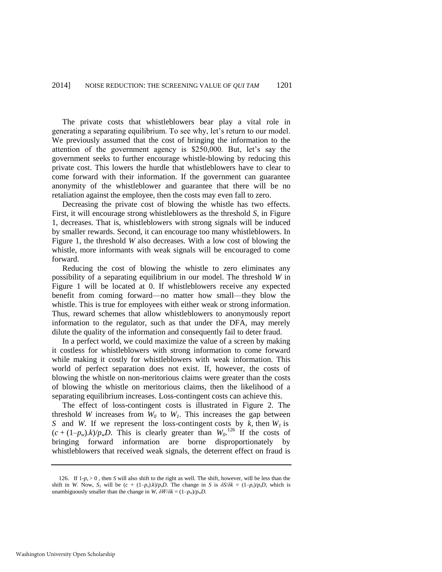The private costs that whistleblowers bear play a vital role in generating a separating equilibrium. To see why, let's return to our model. We previously assumed that the cost of bringing the information to the attention of the government agency is \$250,000. But, let's say the government seeks to further encourage whistle-blowing by reducing this private cost. This lowers the hurdle that whistleblowers have to clear to come forward with their information. If the government can guarantee anonymity of the whistleblower and guarantee that there will be no retaliation against the employee, then the costs may even fall to zero.

Decreasing the private cost of blowing the whistle has two effects. First, it will encourage strong whistleblowers as the threshold *S*, in Figure 1, decreases. That is, whistleblowers with strong signals will be induced by smaller rewards. Second, it can encourage too many whistleblowers. In Figure 1, the threshold *W* also decreases. With a low cost of blowing the whistle, more informants with weak signals will be encouraged to come forward.

Reducing the cost of blowing the whistle to zero eliminates any possibility of a separating equilibrium in our model. The threshold *W* in Figure 1 will be located at 0. If whistleblowers receive any expected benefit from coming forward—no matter how small—they blow the whistle. This is true for employees with either weak or strong information. Thus, reward schemes that allow whistleblowers to anonymously report information to the regulator, such as that under the DFA, may merely dilute the quality of the information and consequently fail to deter fraud.

In a perfect world, we could maximize the value of a screen by making it costless for whistleblowers with strong information to come forward while making it costly for whistleblowers with weak information. This world of perfect separation does not exist. If, however, the costs of blowing the whistle on non-meritorious claims were greater than the costs of blowing the whistle on meritorious claims, then the likelihood of a separating equilibrium increases. Loss-contingent costs can achieve this.

The effect of loss-contingent costs is illustrated in Figure 2. The threshold *W* increases from  $W_0$  to  $W_1$ . This increases the gap between *S* and *W*. If we represent the loss-contingent costs by *k*, then *W<sup>1</sup>* is  $(c + (1-p_w).k)/p_wD$ . This is clearly greater than  $W_0$ <sup>126</sup> If the costs of bringing forward information are borne disproportionately by whistleblowers that received weak signals, the deterrent effect on fraud is

<sup>126.</sup> If  $1-p_s > 0$ , then *S* will also shift to the right as well. The shift, however, will be less than the shift in *W*. Now,  $S_I$  will be  $(c + (1-p_s)k)/p_sD$ . The change in *S* is  $\delta S/\delta k = (1-p_s)/p_sD$ , which is unambiguously smaller than the change in *W*,  $\delta W/\delta k = (1-p_w)/p_wD$ .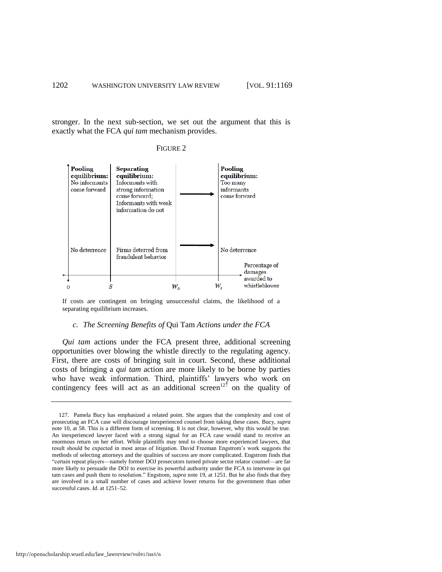stronger. In the next sub-section, we set out the argument that this is exactly what the FCA *qui tam* mechanism provides.





If costs are contingent on bringing unsuccessful claims, the likelihood of a separating equilibrium increases.

#### *c. The Screening Benefits of* Qui Tam *Actions under the FCA*

*Qui tam* actions under the FCA present three, additional screening opportunities over blowing the whistle directly to the regulating agency. First, there are costs of bringing suit in court. Second, these additional costs of bringing a *qui tam* action are more likely to be borne by parties who have weak information. Third, plaintiffs' lawyers who work on contingency fees will act as an additional screen<sup>127</sup> on the quality of

<sup>127.</sup> Pamela Bucy has emphasized a related point. She argues that the complexity and cost of prosecuting an FCA case will discourage inexperienced counsel from taking these cases. Bucy, *supra* note [10,](#page-4-0) at 58. This is a different form of screening. It is not clear, however, why this would be true. An inexperienced lawyer faced with a strong signal for an FCA case would stand to receive an enormous return on her effort. While plaintiffs may tend to choose more experienced lawyers, that result should be expected in most areas of litigation. David Freeman Engstrom's work suggests the methods of selecting attorneys and the qualities of success are more complicated. Engstrom finds that "certain repeat players—namely former DOJ prosecutors turned private sector relator counsel—are far more likely to persuade the DOJ to exercise its powerful authority under the FCA to intervene in qui tam cases and push them to resolution." Engstrom, *supra* note [19,](#page-5-1) at 1251. But he also finds that they are involved in a small number of cases and achieve lower returns for the government than other successful cases. *Id.* at 1251–52.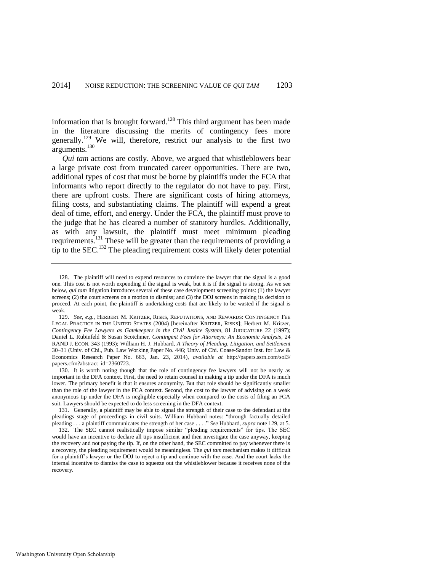information that is brought forward.<sup>128</sup> This third argument has been made in the literature discussing the merits of contingency fees more generally.<sup>129</sup> We will, therefore, restrict our analysis to the first two arguments.<sup>130</sup>

<span id="page-35-0"></span>*Qui tam* actions are costly. Above, we argued that whistleblowers bear a large private cost from truncated career opportunities. There are two, additional types of cost that must be borne by plaintiffs under the FCA that informants who report directly to the regulator do not have to pay. First, there are upfront costs. There are significant costs of hiring attorneys, filing costs, and substantiating claims. The plaintiff will expend a great deal of time, effort, and energy. Under the FCA, the plaintiff must prove to the judge that he has cleared a number of statutory hurdles. Additionally, as with any lawsuit, the plaintiff must meet minimum pleading requirements.<sup>131</sup> These will be greater than the requirements of providing a tip to the SEC.<sup>132</sup> The pleading requirement costs will likely deter potential

<span id="page-35-1"></span><sup>128.</sup> The plaintiff will need to expend resources to convince the lawyer that the signal is a good one. This cost is not worth expending if the signal is weak, but it is if the signal is strong. As we see below, *qui tam* litigation introduces several of these case development screening points: (1) the lawyer screens; (2) the court screens on a motion to dismiss; and (3) the DOJ screens in making its decision to proceed. At each point, the plaintiff is undertaking costs that are likely to be wasted if the signal is weak.

<sup>129.</sup> *See, e.g.*, HERBERT M. KRITZER, RISKS, REPUTATIONS, AND REWARDS: CONTINGENCY FEE LEGAL PRACTICE IN THE UNITED STATES (2004) [hereinafter KRITZER, RISKS]; Herbert M. Kritzer, *Contingency Fee Lawyers as Gatekeepers in the Civil Justice System*, 81 JUDICATURE 22 (1997); Daniel L. Rubinfeld & Susan Scotchmer, *Contingent Fees for Attorneys: An Economic Analysis*, 24 RAND J. ECON. 343 (1993); William H. J. Hubbard, *A Theory of Pleading, Litigation, and Settlement* 30–31 (Univ. of Chi., Pub. Law Working Paper No. 446; Univ. of Chi. Coase-Sandor Inst. for Law & Economics Research Paper No. 663, Jan. 23, 2014), *available at* http://papers.ssrn.com/sol3/ papers.cfm?abstract\_id=2360723.

<sup>130.</sup> It is worth noting though that the role of contingency fee lawyers will not be nearly as important in the DFA context. First, the need to retain counsel in making a tip under the DFA is much lower. The primary benefit is that it ensures anonymity. But that role should be significantly smaller than the role of the lawyer in the FCA context. Second, the cost to the lawyer of advising on a weak anonymous tip under the DFA is negligible especially when compared to the costs of filing an FCA suit. Lawyers should be expected to do less screening in the DFA context.

<sup>131.</sup> Generally, a plaintiff may be able to signal the strength of their case to the defendant at the pleadings stage of proceedings in civil suits. William Hubbard notes: "through factually detailed pleading . . . a plaintiff communicates the strength of her case . . . ." *See* Hubbard, *supra* not[e 129,](#page-35-0) at 5.

<sup>132.</sup> The SEC cannot realistically impose similar "pleading requirements" for tips. The SEC would have an incentive to declare all tips insufficient and then investigate the case anyway, keeping the recovery and not paying the tip. If, on the other hand, the SEC committed to pay whenever there is a recovery, the pleading requirement would be meaningless. The *qui tam* mechanism makes it difficult for a plaintiff's lawyer or the DOJ to reject a tip and continue with the case. And the court lacks the internal incentive to dismiss the case to squeeze out the whistleblower because it receives none of the recovery.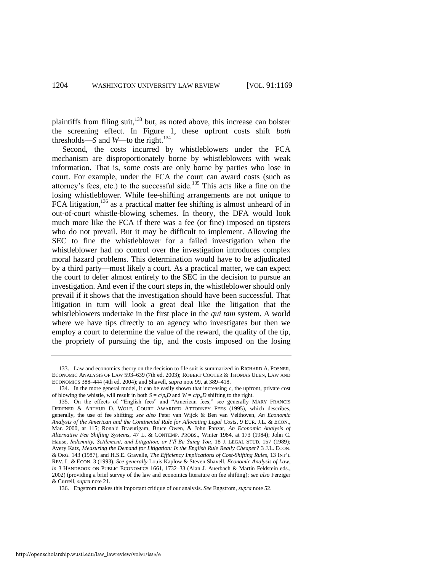plaintiffs from filing suit,<sup>133</sup> but, as noted above, this increase can bolster the screening effect. In Figure 1, these upfront costs shift *both*  thresholds—*S* and *W*—to the right.<sup>134</sup>

Second, the costs incurred by whistleblowers under the FCA mechanism are disproportionately borne by whistleblowers with weak information. That is, some costs are only borne by parties who lose in court. For example, under the FCA the court can award costs (such as attorney's fees, etc.) to the successful side.<sup>135</sup> This acts like a fine on the losing whistleblower. While fee-shifting arrangements are not unique to FCA litigation,<sup>136</sup> as a practical matter fee shifting is almost unheard of in out-of-court whistle-blowing schemes. In theory, the DFA would look much more like the FCA if there was a fee (or fine) imposed on tipsters who do not prevail. But it may be difficult to implement. Allowing the SEC to fine the whistleblower for a failed investigation when the whistleblower had no control over the investigation introduces complex moral hazard problems. This determination would have to be adjudicated by a third party—most likely a court. As a practical matter, we can expect the court to defer almost entirely to the SEC in the decision to pursue an investigation. And even if the court steps in, the whistleblower should only prevail if it shows that the investigation should have been successful. That litigation in turn will look a great deal like the litigation that the whistleblowers undertake in the first place in the *qui tam* system. A world where we have tips directly to an agency who investigates but then we employ a court to determine the value of the reward, the quality of the tip, the propriety of pursuing the tip, and the costs imposed on the losing

<sup>133.</sup> Law and economics theory on the decision to file suit is summarized in RICHARD A. POSNER, ECONOMIC ANALYSIS OF LAW 593–639 (7th ed. 2003); ROBERT COOTER & THOMAS ULEN, LAW AND ECONOMICS 388–444 (4th ed. 2004); and Shavell, *supra* not[e 99,](#page-22-0) at 389–418.

<sup>134.</sup> In the more general model, it can be easily shown that increasing *c*, the upfront, private cost of blowing the whistle, will result in both  $S = c/p_sD$  and  $W = c/p_wD$  shifting to the right.

<sup>135.</sup> On the effects of "English fees" and "American fees," see generally MARY FRANCIS DERFNER & ARTHUR D. WOLF, COURT AWARDED ATTORNEY FEES (1995), which describes, generally, the use of fee shifting; *see also* Peter van Wijck & Ben van Velthoven, *An Economic Analysis of the American and the Continental Rule for Allocating Legal Costs*, 9 EUR. J.L. & ECON., Mar. 2000, at 115; Ronald Braeutigam, Bruce Owen, & John Panzar, *An Economic Analysis of Alternative Fee Shifting Systems*, 47 L. & CONTEMP. PROBS., Winter 1984, at 173 (1984); John C. Hause, *Indemnity, Settlement, and Litigation, or I'll Be Suing You*, 18 J. LEGAL STUD. 157 (1989); Avery Katz, *Measuring the Demand for Litigation: Is the English Rule Really Cheaper?* 3 J.L. ECON. & ORG*.* 143 (1987), and H.S.E. Gravelle, *The Efficiency Implications of Cost-Shifting Rules*, 13 INT'L REV. L. & ECON. 3 (1993). *See generally* Louis Kaplow & Steven Shavell, *Economic Analysis of Law*, *in* 3 HANDBOOK ON PUBLIC ECONOMICS 1661, 1732–33 (Alan J. Auerbach & Martin Feldstein eds., 2002) (providing a brief survey of the law and economics literature on fee shifting); *see also* Ferziger & Currell, *supra* note [21.](#page-5-2) 

<sup>136.</sup> Engstrom makes this important critique of our analysis. *See* Engstrom, *supra* not[e 52.](#page-11-0)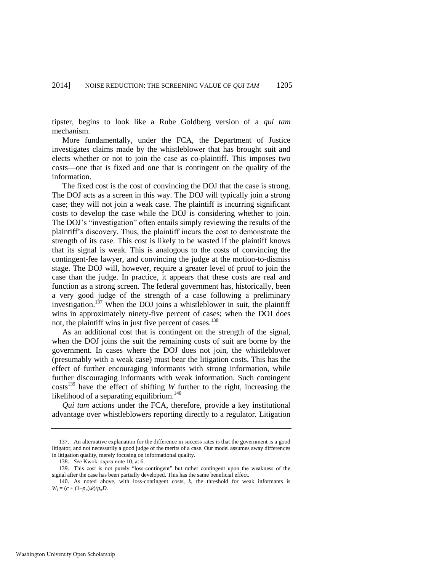tipster, begins to look like a Rube Goldberg version of a *qui tam* mechanism.

More fundamentally, under the FCA, the Department of Justice investigates claims made by the whistleblower that has brought suit and elects whether or not to join the case as co-plaintiff. This imposes two costs—one that is fixed and one that is contingent on the quality of the information.

The fixed cost is the cost of convincing the DOJ that the case is strong. The DOJ acts as a screen in this way. The DOJ will typically join a strong case; they will not join a weak case. The plaintiff is incurring significant costs to develop the case while the DOJ is considering whether to join. The DOJ's "investigation" often entails simply reviewing the results of the plaintiff's discovery. Thus, the plaintiff incurs the cost to demonstrate the strength of its case. This cost is likely to be wasted if the plaintiff knows that its signal is weak. This is analogous to the costs of convincing the contingent-fee lawyer, and convincing the judge at the motion-to-dismiss stage. The DOJ will, however, require a greater level of proof to join the case than the judge. In practice, it appears that these costs are real and function as a strong screen. The federal government has, historically, been a very good judge of the strength of a case following a preliminary investigation.<sup>137</sup> When the DOJ joins a whistleblower in suit, the plaintiff wins in approximately ninety-five percent of cases; when the DOJ does not, the plaintiff wins in just five percent of cases.<sup>138</sup>

As an additional cost that is contingent on the strength of the signal, when the DOJ joins the suit the remaining costs of suit are borne by the government. In cases where the DOJ does not join, the whistleblower (presumably with a weak case) must bear the litigation costs. This has the effect of further encouraging informants with strong information, while further discouraging informants with weak information. Such contingent costs<sup>139</sup> have the effect of shifting *W* further to the right, increasing the likelihood of a separating equilibrium. $140$ 

*Qui tam* actions under the FCA, therefore, provide a key institutional advantage over whistleblowers reporting directly to a regulator. Litigation

<sup>137.</sup> An alternative explanation for the difference in success rates is that the government is a good litigator, and not necessarily a good judge of the merits of a case. Our model assumes away differences in litigation quality, merely focusing on informational quality.

<sup>138.</sup> *See* Kwok, *supra* not[e 10,](#page-4-0) at 6.

<sup>139.</sup> This cost is not purely "loss-contingent" but rather contingent upon the weakness of the signal after the case has been partially developed. This has the same beneficial effect.

<sup>140.</sup> As noted above, with loss-contingent costs, *k*, the threshold for weak informants is  $W_1 = (c + (1-p_w).k)/p_wD$ .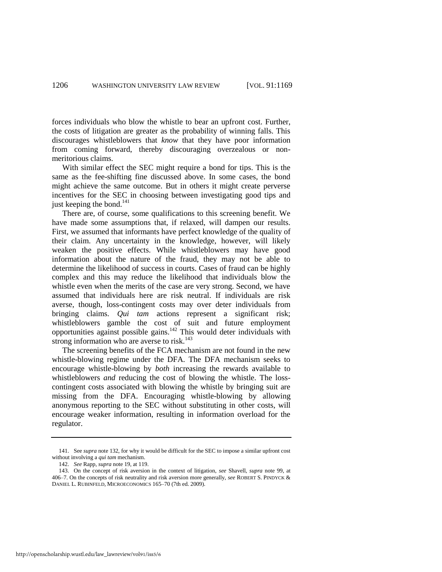forces individuals who blow the whistle to bear an upfront cost. Further, the costs of litigation are greater as the probability of winning falls. This discourages whistleblowers that *know* that they have poor information from coming forward, thereby discouraging overzealous or nonmeritorious claims.

With similar effect the SEC might require a bond for tips. This is the same as the fee-shifting fine discussed above. In some cases, the bond might achieve the same outcome. But in others it might create perverse incentives for the SEC in choosing between investigating good tips and just keeping the bond. $141$ 

There are, of course, some qualifications to this screening benefit. We have made some assumptions that, if relaxed, will dampen our results. First, we assumed that informants have perfect knowledge of the quality of their claim. Any uncertainty in the knowledge, however, will likely weaken the positive effects. While whistleblowers may have good information about the nature of the fraud, they may not be able to determine the likelihood of success in courts. Cases of fraud can be highly complex and this may reduce the likelihood that individuals blow the whistle even when the merits of the case are very strong. Second, we have assumed that individuals here are risk neutral. If individuals are risk averse, though, loss-contingent costs may over deter individuals from bringing claims. *Qui tam* actions represent a significant risk; whistleblowers gamble the cost of suit and future employment opportunities against possible gains.<sup>142</sup> This would deter individuals with strong information who are averse to risk. $143$ 

<span id="page-38-0"></span>The screening benefits of the FCA mechanism are not found in the new whistle-blowing regime under the DFA. The DFA mechanism seeks to encourage whistle-blowing by *both* increasing the rewards available to whistleblowers *and* reducing the cost of blowing the whistle. The losscontingent costs associated with blowing the whistle by bringing suit are missing from the DFA. Encouraging whistle-blowing by allowing anonymous reporting to the SEC without substituting in other costs, will encourage weaker information, resulting in information overload for the regulator.

<sup>141.</sup> See *supra* note [132,](#page-35-1) for why it would be difficult for the SEC to impose a similar upfront cost without involving a *qui tam* mechanism.

<sup>142.</sup> *See* Rapp, *supra* not[e 19,](#page-5-1) at 119.

<sup>143.</sup> On the concept of risk aversion in the context of litigation, *see* Shavell, *supra* note [99,](#page-22-0) at 406–7. On the concepts of risk neutrality and risk aversion more generally, *see* ROBERT S. PINDYCK & DANIEL L. RUBINFELD, MICROECONOMICS 165–70 (7th ed. 2009).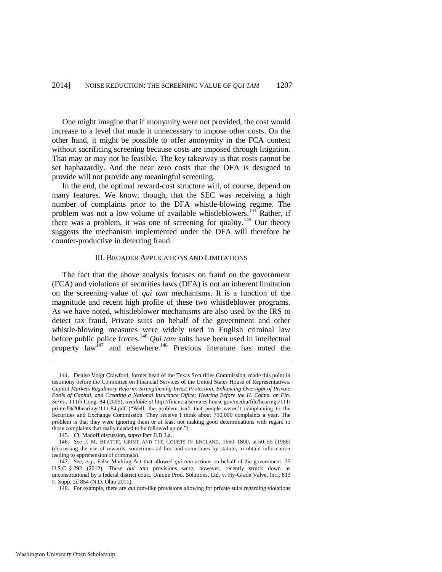One might imagine that if anonymity were not provided, the cost would increase to a level that made it unnecessary to impose other costs. On the other hand, it might be possible to offer anonymity in the FCA context without sacrificing screening because costs are imposed through litigation. That may or may not be feasible. The key takeaway is that costs cannot be set haphazardly. And the near zero costs that the DFA is designed to provide will not provide any meaningful screening.

In the end, the optimal reward-cost structure will, of course, depend on many features. We know, though, that the SEC was receiving a high number of complaints prior to the DFA whistle-blowing regime. The problem was not a low volume of available whistleblowers.<sup>144</sup> Rather, if there was a problem, it was one of screening for quality.<sup>145</sup> Our theory suggests the mechanism implemented under the DFA will therefore be counter-productive in deterring fraud.

# <span id="page-39-0"></span>III. BROADER APPLICATIONS AND LIMITATIONS

The fact that the above analysis focuses on fraud on the government (FCA) and violations of securities laws (DFA) is not an inherent limitation on the screening value of *qui tam* mechanisms. It is a function of the magnitude and recent high profile of these two whistleblower programs. As we have noted, whistleblower mechanisms are also used by the IRS to detect tax fraud. Private suits on behalf of the government and other whistle-blowing measures were widely used in English criminal law before public police forces.<sup>146</sup> *Qui tam* suits have been used in intellectual property law<sup>147</sup> and elsewhere.<sup>148</sup> Previous literature has noted the

<sup>144.</sup> Denise Voigt Crawford, former head of the Texas Securities Commission, made this point in testimony before the Committee on Financial Services of the United States House of Representatives. *Capital Markets Regulatory Reform: Strengthening Invest Protection, Enhancing Oversight of Private Pools of Capital, and Creating a National Insurance Office: Hearing Before the H. Comm. on Fin. Servs.*, 111th Cong. 84 (2009), *available at* http://financialservices.house.gov/media/file/hearings/111/ printed%20hearings/111-84.pdf ("Well, the problem isn't that people weren't complaining to the Securities and Exchange Commission. They receive I think about 750,000 complaints a year. The problem is that they were ignoring them or at least not making good determinations with regard to those complaints that really needed to be followed up on.").

<sup>145.</sup> *Cf.* Madoff discussion, *supra* Part II.B.3.a.

<sup>146.</sup> *See* J. M. BEATTIE, CRIME AND THE COURTS IN ENGLAND, 1660–1800, at 50–55 (1986) (discussing the use of rewards, sometimes ad hoc and sometimes by statute, to obtain information leading to apprehension of criminals).

<sup>147.</sup> *See, e.g.*, False Marking Act that allowed *qui tam* actions on behalf of the government. 35 U.S.C. § 292 (2012). These *qui tam* provisions were, however, recently struck down as unconstitutional by a federal district court. Unique Prod. Solutions, Ltd. v. Hy-Grade Valve, Inc., 813 F. Supp. 2d 854 (N.D. Ohio 2011).

<sup>148.</sup> For example, there are *qui tam-*like provisions allowing for private suits regarding violations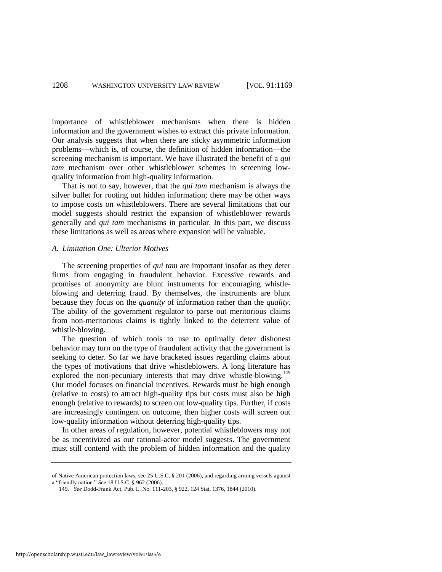importance of whistleblower mechanisms when there is hidden information and the government wishes to extract this private information. Our analysis suggests that when there are sticky asymmetric information problems—which is, of course, the definition of hidden information—the screening mechanism is important. We have illustrated the benefit of a *qui tam* mechanism over other whistleblower schemes in screening lowquality information from high-quality information.

That is not to say, however, that the *qui tam* mechanism is always the silver bullet for rooting out hidden information; there may be other ways to impose costs on whistleblowers. There are several limitations that our model suggests should restrict the expansion of whistleblower rewards generally and *qui tam* mechanisms in particular. In this part, we discuss these limitations as well as areas where expansion will be valuable.

## *A. Limitation One: Ulterior Motives*

The screening properties of *qui tam* are important insofar as they deter firms from engaging in fraudulent behavior. Excessive rewards and promises of anonymity are blunt instruments for encouraging whistleblowing and deterring fraud. By themselves, the instruments are blunt because they focus on the *quantity* of information rather than the *quality*. The ability of the government regulator to parse out meritorious claims from non-meritorious claims is tightly linked to the deterrent value of whistle-blowing.

The question of which tools to use to optimally deter dishonest behavior may turn on the type of fraudulent activity that the government is seeking to deter. So far we have bracketed issues regarding claims about the types of motivations that drive whistleblowers. A long literature has explored the non-pecuniary interests that may drive whistle-blowing.<sup>149</sup> Our model focuses on financial incentives. Rewards must be high enough (relative to costs) to attract high-quality tips but costs must also be high enough (relative to rewards) to screen out low-quality tips. Further, if costs are increasingly contingent on outcome, then higher costs will screen out low-quality information without deterring high-quality tips.

In other areas of regulation, however, potential whistleblowers may not be as incentivized as our rational-actor model suggests. The government must still contend with the problem of hidden information and the quality

of Native American protection laws, see 25 U.S.C. § 201 (2006), and regarding arming vessels against a "friendly nation." *See* 18 U.S.C. § 962 (2006).

<sup>149.</sup> *See* Dodd-Frank Act, Pub. L. No. 111-203, § 922, 124 Stat. 1376, 1844 (2010).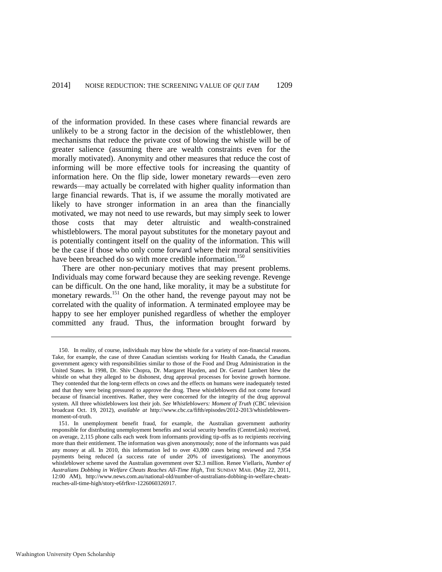of the information provided. In these cases where financial rewards are unlikely to be a strong factor in the decision of the whistleblower, then mechanisms that reduce the private cost of blowing the whistle will be of greater salience (assuming there are wealth constraints even for the morally motivated). Anonymity and other measures that reduce the cost of informing will be more effective tools for increasing the quantity of information here. On the flip side, lower monetary rewards—even zero rewards—may actually be correlated with higher quality information than large financial rewards. That is, if we assume the morally motivated are likely to have stronger information in an area than the financially motivated, we may not need to use rewards, but may simply seek to lower those costs that may deter altruistic and wealth-constrained whistleblowers. The moral payout substitutes for the monetary payout and is potentially contingent itself on the quality of the information. This will be the case if those who only come forward where their moral sensitivities have been breached do so with more credible information.<sup>150</sup>

There are other non-pecuniary motives that may present problems. Individuals may come forward because they are seeking revenge. Revenge can be difficult. On the one hand, like morality, it may be a substitute for monetary rewards.<sup>151</sup> On the other hand, the revenge payout may not be correlated with the quality of information. A terminated employee may be happy to see her employer punished regardless of whether the employer committed any fraud. Thus, the information brought forward by

<sup>150.</sup> In reality, of course, individuals may blow the whistle for a variety of non-financial reasons. Take, for example, the case of three Canadian scientists working for Health Canada, the Canadian government agency with responsibilities similar to those of the Food and Drug Administration in the United States. In 1998, Dr. Shiv Chopra, Dr. Margaret Hayden, and Dr. Gerard Lambert blew the whistle on what they alleged to be dishonest, drug approval processes for bovine growth hormone. They contended that the long-term effects on cows and the effects on humans were inadequately tested and that they were being pressured to approve the drug. These whistleblowers did not come forward because of financial incentives. Rather, they were concerned for the integrity of the drug approval system. All three whistleblowers lost their job. *See Whistleblowers: Moment of Truth* (CBC television broadcast Oct. 19, 2012), *available at* http://www.cbc.ca/fifth/episodes/2012-2013/whistleblowersmoment-of-truth.

<sup>151.</sup> In unemployment benefit fraud, for example, the Australian government authority responsible for distributing unemployment benefits and social security benefits (CentreLink) received, on average, 2,115 phone calls each week from informants providing tip-offs as to recipients receiving more than their entitlement. The information was given anonymously; none of the informants was paid any money at all. In 2010, this information led to over 43,000 cases being reviewed and 7,954 payments being reduced (a success rate of under 20% of investigations). The anonymous whistleblower scheme saved the Australian government over \$2.3 million. Renee Viellaris, *Number of Australians Dobbing in Welfare Cheats Reaches All-Time High*, THE SUNDAY MAIL (May 22, 2011, 12:00 AM), http://www.news.com.au/national-old/number-of-australians-dobbing-in-welfare-cheatsreaches-all-time-high/story-e6frfkvr-1226060326917.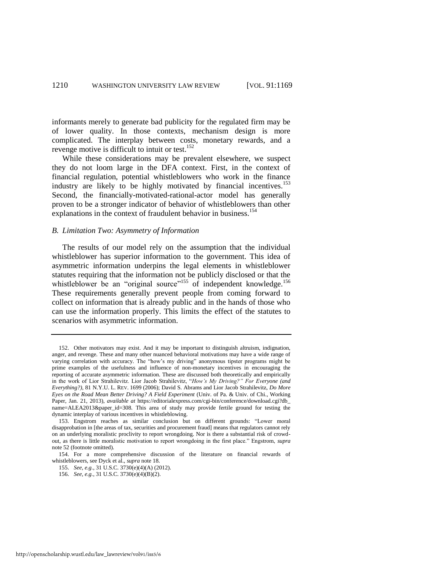informants merely to generate bad publicity for the regulated firm may be of lower quality. In those contexts, mechanism design is more complicated. The interplay between costs, monetary rewards, and a revenge motive is difficult to intuit or test.<sup>152</sup>

<span id="page-42-0"></span>While these considerations may be prevalent elsewhere, we suspect they do not loom large in the DFA context. First, in the context of financial regulation, potential whistleblowers who work in the finance industry are likely to be highly motivated by financial incentives.<sup>153</sup> Second, the financially-motivated-rational-actor model has generally proven to be a stronger indicator of behavior of whistleblowers than other explanations in the context of fraudulent behavior in business.<sup>154</sup>

# *B. Limitation Two: Asymmetry of Information*

The results of our model rely on the assumption that the individual whistleblower has superior information to the government. This idea of asymmetric information underpins the legal elements in whistleblower statutes requiring that the information not be publicly disclosed or that the whistleblower be an "original source"<sup>155</sup> of independent knowledge.<sup>156</sup> These requirements generally prevent people from coming forward to collect on information that is already public and in the hands of those who can use the information properly. This limits the effect of the statutes to scenarios with asymmetric information.

<sup>152.</sup> Other motivators may exist. And it may be important to distinguish altruism, indignation, anger, and revenge. These and many other nuanced behavioral motivations may have a wide range of varying correlation with accuracy. The "how's my driving" anonymous tipster programs might be prime examples of the usefulness and influence of non-monetary incentives in encouraging the reporting of accurate asymmetric information. These are discussed both theoretically and empirically in the work of Lior Strahilevitz. Lior Jacob Strahilevitz, "*How's My Driving?" For Everyone (and Everything?)*, 81 N.Y.U. L. REV. 1699 (2006); David S. Abrams and Lior Jacob Strahilevitz, *Do More Eyes on the Road Mean Better Driving? A Field Experiment* (Univ. of Pa. & Univ. of Chi., Working Paper, Jan. 21, 2013), *available at* https://editorialexpress.com/cgi-bin/conference/download.cgi?db\_ name=ALEA2013&paper\_id=308*.* This area of study may provide fertile ground for testing the dynamic interplay of various incentives in whistleblowing.

<sup>153.</sup> Engstrom reaches as similar conclusion but on different grounds: "Lower moral disapprobation in [the areas of tax, securities and procurement fraud] means that regulators cannot rely on an underlying moralistic proclivity to report wrongdoing. Nor is there a substantial risk of crowdout, as there is little moralistic motivation to report wrongdoing in the first place." Engstrom, *supra* note [52 \(](#page-11-0)footnote omitted).

<sup>154.</sup> For a more comprehensive discussion of the literature on financial rewards of whistleblowers, see Dyck et al., *supra* not[e 18.](#page-5-0) 

<sup>155.</sup> *See, e.g.*, 31 U.S.C. 3730(e)(4)(A) (2012).

<sup>156.</sup> *See, e.g.*, 31 U.S.C. 3730(e)(4)(B)(2).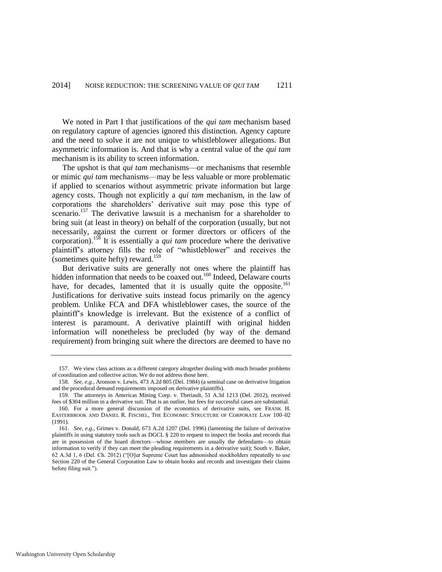We noted in Part I that justifications of the *qui tam* mechanism based on regulatory capture of agencies ignored this distinction. Agency capture and the need to solve it are not unique to whistleblower allegations. But asymmetric information is. And that is why a central value of the *qui tam*  mechanism is its ability to screen information.

The upshot is that *qui tam* mechanisms—or mechanisms that resemble or mimic *qui tam* mechanisms—may be less valuable or more problematic if applied to scenarios without asymmetric private information but large agency costs. Though not explicitly a *qui tam* mechanism, in the law of corporations the shareholders' derivative suit may pose this type of scenario.<sup>157</sup> The derivative lawsuit is a mechanism for a shareholder to bring suit (at least in theory) on behalf of the corporation (usually, but not necessarily, against the current or former directors or officers of the corporation).<sup>158</sup> It is essentially a *qui tam* procedure where the derivative plaintiff's attorney fills the role of "whistleblower" and receives the (sometimes quite hefty) reward.<sup>159</sup>

<span id="page-43-0"></span>But derivative suits are generally not ones where the plaintiff has hidden information that needs to be coaxed out.<sup>160</sup> Indeed, Delaware courts have, for decades, lamented that it is usually quite the opposite.<sup>161</sup> Justifications for derivative suits instead focus primarily on the agency problem. Unlike FCA and DFA whistleblower cases, the source of the plaintiff's knowledge is irrelevant. But the existence of a conflict of interest is paramount. A derivative plaintiff with original hidden information will nonetheless be precluded (by way of the demand requirement) from bringing suit where the directors are deemed to have no

<sup>157.</sup> We view class actions as a different category altogether dealing with much broader problems of coordination and collective action. We do not address those here.

<sup>158.</sup> *See, e.g.*, Aronson v. Lewis, 473 A.2d 805 (Del. 1984) (a seminal case on derivative litigation and the procedural demand requirements imposed on derivative plaintiffs).

<sup>159.</sup> The attorneys in Americas Mining Corp. v. Theriault, 51 A.3d 1213 (Del. 2012), received fees of \$304 million in a derivative suit. That is an outlier, but fees for successful cases are substantial.

<sup>160.</sup> For a more general discussion of the economics of derivative suits, see FRANK H. EASTERBROOK AND DANIEL R. FISCHEL, THE ECONOMIC STRUCTURE OF CORPORATE LAW 100–02 (1991).

<sup>161.</sup> *See, e.g.*, Grimes v. Donald, 673 A.2d 1207 (Del. 1996) (lamenting the failure of derivative plaintiffs in using statutory tools such as DGCL § 220 to request to inspect the books and records that are in possession of the board directors—whose members are usually the defendants—to obtain information to verify if they can meet the pleading requirements in a derivative suit); South v. Baker, 62 A.3d 1, 6 (Del. Ch. 2012) ("[O]ur Supreme Court has admonished stockholders repeatedly to use Section 220 of the General Corporation Law to obtain books and records and investigate their claims before filing suit.").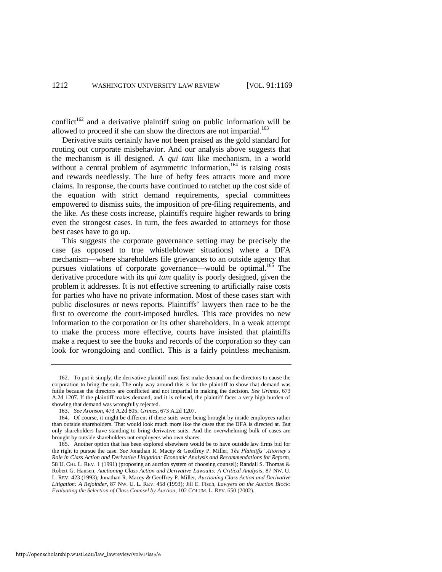conflict<sup>162</sup> and a derivative plaintiff suing on public information will be allowed to proceed if she can show the directors are not impartial.<sup>163</sup>

Derivative suits certainly have not been praised as the gold standard for rooting out corporate misbehavior. And our analysis above suggests that the mechanism is ill designed. A *qui tam* like mechanism, in a world without a central problem of asymmetric information,  $164$  is raising costs and rewards needlessly. The lure of hefty fees attracts more and more claims. In response, the courts have continued to ratchet up the cost side of the equation with strict demand requirements, special committees empowered to dismiss suits, the imposition of pre-filing requirements, and the like. As these costs increase, plaintiffs require higher rewards to bring even the strongest cases. In turn, the fees awarded to attorneys for those best cases have to go up.

This suggests the corporate governance setting may be precisely the case (as opposed to true whistleblower situations) where a DFA mechanism—where shareholders file grievances to an outside agency that pursues violations of corporate governance—would be optimal.<sup>165</sup> The derivative procedure with its *qui tam* quality is poorly designed, given the problem it addresses. It is not effective screening to artificially raise costs for parties who have no private information. Most of these cases start with public disclosures or news reports. Plaintiffs' lawyers then race to be the first to overcome the court-imposed hurdles. This race provides no new information to the corporation or its other shareholders. In a weak attempt to make the process more effective, courts have insisted that plaintiffs make a request to see the books and records of the corporation so they can look for wrongdoing and conflict. This is a fairly pointless mechanism.

<sup>162.</sup> To put it simply, the derivative plaintiff must first make demand on the directors to cause the corporation to bring the suit. The only way around this is for the plaintiff to show that demand was futile because the directors are conflicted and not impartial in making the decision. *See Grimes*, 673 A.2d 1207. If the plaintiff makes demand, and it is refused, the plaintiff faces a very high burden of showing that demand was wrongfully rejected.

<sup>163.</sup> *See Aronson*, 473 A.2d 805; *Grimes*, 673 A.2d 1207.

<sup>164.</sup> Of course, it might be different if these suits were being brought by inside employees rather than outside shareholders. That would look much more like the cases that the DFA is directed at. But only shareholders have standing to bring derivative suits. And the overwhelming bulk of cases are brought by outside shareholders not employees who own shares.

<sup>165.</sup> Another option that has been explored elsewhere would be to have outside law firms bid for the right to pursue the case. *See* Jonathan R. Macey & Geoffrey P. Miller, *The Plaintiffs' Attorney's Role in Class Action and Derivative Litigation: Economic Analysis and Recommendations for Reform*, 58 U. CHI. L. REV. 1 (1991) (proposing an auction system of choosing counsel); Randall S. Thomas & Robert G. Hansen, *Auctioning Class Action and Derivative Lawsuits: A Critical Analysis*, 87 NW. U. L. REV. 423 (1993); Jonathan R. Macey & Geoffrey P. Miller, *Auctioning Class Action and Derivative Litigation: A Rejoinder*, 87 NW. U. L. REV. 458 (1993); Jill E. Fisch, *Lawyers on the Auction Block: Evaluating the Selection of Class Counsel by Auction*, 102 COLUM. L. REV. 650 (2002).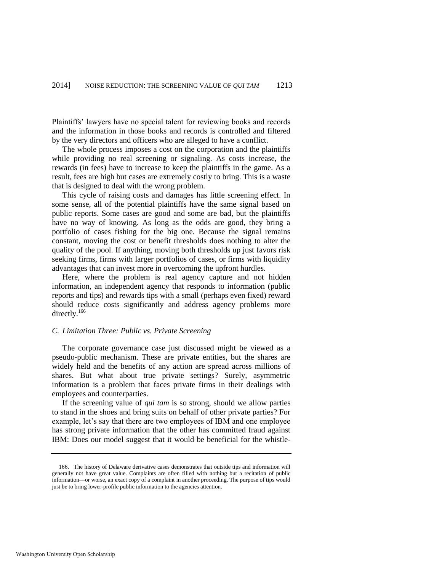Plaintiffs' lawyers have no special talent for reviewing books and records and the information in those books and records is controlled and filtered by the very directors and officers who are alleged to have a conflict.

The whole process imposes a cost on the corporation and the plaintiffs while providing no real screening or signaling. As costs increase, the rewards (in fees) have to increase to keep the plaintiffs in the game. As a result, fees are high but cases are extremely costly to bring. This is a waste that is designed to deal with the wrong problem.

This cycle of raising costs and damages has little screening effect. In some sense, all of the potential plaintiffs have the same signal based on public reports. Some cases are good and some are bad, but the plaintiffs have no way of knowing. As long as the odds are good, they bring a portfolio of cases fishing for the big one. Because the signal remains constant, moving the cost or benefit thresholds does nothing to alter the quality of the pool. If anything, moving both thresholds up just favors risk seeking firms, firms with larger portfolios of cases, or firms with liquidity advantages that can invest more in overcoming the upfront hurdles.

Here, where the problem is real agency capture and not hidden information, an independent agency that responds to information (public reports and tips) and rewards tips with a small (perhaps even fixed) reward should reduce costs significantly and address agency problems more directly.<sup>166</sup>

#### *C. Limitation Three: Public vs. Private Screening*

The corporate governance case just discussed might be viewed as a pseudo-public mechanism. These are private entities, but the shares are widely held and the benefits of any action are spread across millions of shares. But what about true private settings? Surely, asymmetric information is a problem that faces private firms in their dealings with employees and counterparties.

If the screening value of *qui tam* is so strong, should we allow parties to stand in the shoes and bring suits on behalf of other private parties? For example, let's say that there are two employees of IBM and one employee has strong private information that the other has committed fraud against IBM: Does our model suggest that it would be beneficial for the whistle-

<sup>166.</sup> The history of Delaware derivative cases demonstrates that outside tips and information will generally not have great value. Complaints are often filled with nothing but a recitation of public information—or worse, an exact copy of a complaint in another proceeding. The purpose of tips would just be to bring lower-profile public information to the agencies attention.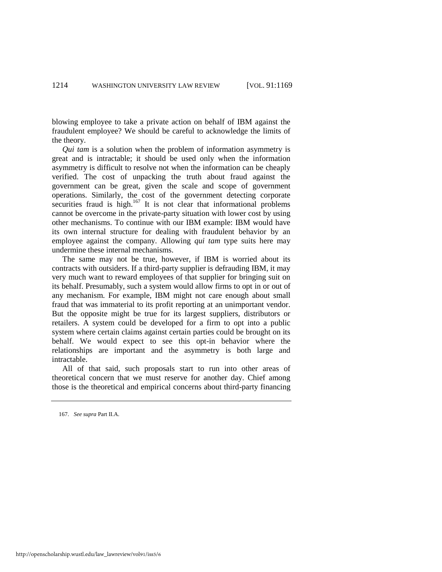blowing employee to take a private action on behalf of IBM against the fraudulent employee? We should be careful to acknowledge the limits of the theory.

*Qui tam* is a solution when the problem of information asymmetry is great and is intractable; it should be used only when the information asymmetry is difficult to resolve not when the information can be cheaply verified. The cost of unpacking the truth about fraud against the government can be great, given the scale and scope of government operations. Similarly, the cost of the government detecting corporate securities fraud is high. $167$  It is not clear that informational problems cannot be overcome in the private-party situation with lower cost by using other mechanisms. To continue with our IBM example: IBM would have its own internal structure for dealing with fraudulent behavior by an employee against the company. Allowing *qui tam* type suits here may undermine these internal mechanisms.

The same may not be true, however, if IBM is worried about its contracts with outsiders. If a third-party supplier is defrauding IBM, it may very much want to reward employees of that supplier for bringing suit on its behalf. Presumably, such a system would allow firms to opt in or out of any mechanism. For example, IBM might not care enough about small fraud that was immaterial to its profit reporting at an unimportant vendor. But the opposite might be true for its largest suppliers, distributors or retailers. A system could be developed for a firm to opt into a public system where certain claims against certain parties could be brought on its behalf. We would expect to see this opt-in behavior where the relationships are important and the asymmetry is both large and intractable.

All of that said, such proposals start to run into other areas of theoretical concern that we must reserve for another day. Chief among those is the theoretical and empirical concerns about third-party financing

<sup>167.</sup> *See supra* Part II.A.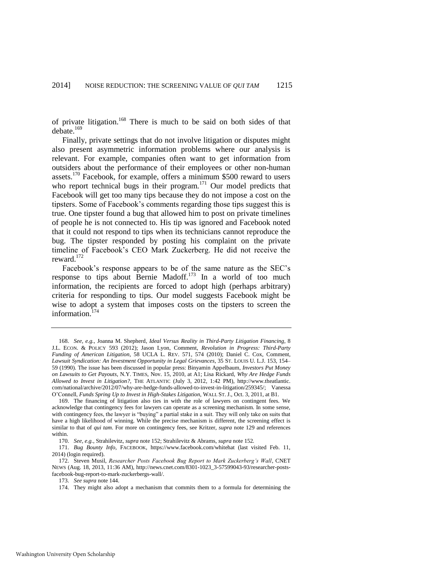of private litigation.<sup>168</sup> There is much to be said on both sides of that debate.<sup>169</sup>

<span id="page-47-0"></span>Finally, private settings that do not involve litigation or disputes might also present asymmetric information problems where our analysis is relevant. For example, companies often want to get information from outsiders about the performance of their employees or other non-human assets.<sup>170</sup> Facebook, for example, offers a minimum \$500 reward to users who report technical bugs in their program.<sup>171</sup> Our model predicts that Facebook will get too many tips because they do not impose a cost on the tipsters. Some of Facebook's comments regarding those tips suggest this is true. One tipster found a bug that allowed him to post on private timelines of people he is not connected to. His tip was ignored and Facebook noted that it could not respond to tips when its technicians cannot reproduce the bug. The tipster responded by posting his complaint on the private timeline of Facebook's CEO Mark Zuckerberg. He did not receive the reward.<sup>172</sup>

Facebook's response appears to be of the same nature as the SEC's response to tips about Bernie Madoff.<sup>173</sup> In a world of too much information, the recipients are forced to adopt high (perhaps arbitrary) criteria for responding to tips. Our model suggests Facebook might be wise to adopt a system that imposes costs on the tipsters to screen the information.<sup>174</sup>

<sup>168.</sup> *See, e.g.*, Joanna M. Shepherd*, Ideal Versus Reality in Third-Party Litigation Financing*, 8 J.L. ECON. & POLICY 593 (2012); Jason Lyon, Comment, *Revolution in Progress: Third-Party Funding of American Litigation*, 58 UCLA L. REV. 571, 574 (2010); Daniel C. Cox, Comment, *Lawsuit Syndication: An Investment Opportunity in Legal Grievances*, 35 ST. LOUIS U. L.J. 153, 154– 59 (1990). The issue has been discussed in popular press: Binyamin Appelbaum, *Investors Put Money on Lawsuits to Get Payouts*, N.Y. TIMES, Nov. 15, 2010, at A1; Lisa Rickard, *Why Are Hedge Funds Allowed to Invest in Litigation?*, THE ATLANTIC (July 3, 2012, 1:42 PM), http://www.theatlantic. com/national/archive/2012/07/why-are-hedge-funds-allowed-to-invest-in-litigation/259345/; Vanessa O'Connell, *Funds Spring Up to Invest in High-Stakes Litigation*, WALL ST. J., Oct. 3, 2011, at B1.

<sup>169.</sup> The financing of litigation also ties in with the role of lawyers on contingent fees. We acknowledge that contingency fees for lawyers can operate as a screening mechanism. In some sense, with contingency fees, the lawyer is "buying" a partial stake in a suit. They will only take on suits that have a high likelihood of winning. While the precise mechanism is different, the screening effect is similar to that of *qui tam*. For more on contingency fees, see Kritzer, *supra* not[e 129](#page-35-0) and references within.

<sup>170.</sup> *See, e.g.*, Strahilevitz, *supra* note [152;](#page-42-0) Strahilevitz & Abrams, *supra* not[e 152](#page-42-0)*.*

<sup>171.</sup> *Bug Bounty Info*, FACEBOOK, https://www.facebook.com/whitehat (last visited Feb. 11, 2014) (login required).

<sup>172.</sup> Steven Musil, *Researcher Posts Facebook Bug Report to Mark Zuckerberg's Wall*, CNET NEWS (Aug. 18, 2013, 11:36 AM), http://news.cnet.com/8301-1023\_3-57599043-93/researcher-postsfacebook-bug-report-to-mark-zuckerbergs-wall/.

<sup>173.</sup> *See supra* not[e 144.](#page-39-0) 

<sup>174.</sup> They might also adopt a mechanism that commits them to a formula for determining the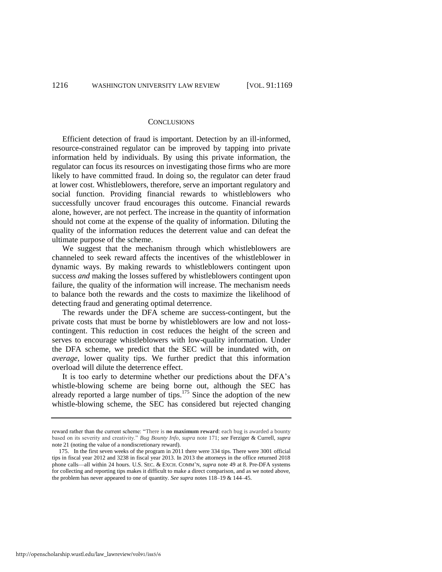#### **CONCLUSIONS**

Efficient detection of fraud is important. Detection by an ill-informed, resource-constrained regulator can be improved by tapping into private information held by individuals. By using this private information, the regulator can focus its resources on investigating those firms who are more likely to have committed fraud. In doing so, the regulator can deter fraud at lower cost. Whistleblowers, therefore, serve an important regulatory and social function. Providing financial rewards to whistleblowers who successfully uncover fraud encourages this outcome. Financial rewards alone, however, are not perfect. The increase in the quantity of information should not come at the expense of the quality of information. Diluting the quality of the information reduces the deterrent value and can defeat the ultimate purpose of the scheme.

We suggest that the mechanism through which whistleblowers are channeled to seek reward affects the incentives of the whistleblower in dynamic ways. By making rewards to whistleblowers contingent upon success *and* making the losses suffered by whistleblowers contingent upon failure, the quality of the information will increase. The mechanism needs to balance both the rewards and the costs to maximize the likelihood of detecting fraud and generating optimal deterrence.

The rewards under the DFA scheme are success-contingent, but the private costs that must be borne by whistleblowers are low and not losscontingent. This reduction in cost reduces the height of the screen and serves to encourage whistleblowers with low-quality information. Under the DFA scheme, we predict that the SEC will be inundated with, *on average*, lower quality tips. We further predict that this information overload will dilute the deterrence effect.

It is too early to determine whether our predictions about the DFA's whistle-blowing scheme are being borne out, although the SEC has already reported a large number of tips.<sup>175</sup> Since the adoption of the new whistle-blowing scheme, the SEC has considered but rejected changing

http://openscholarship.wustl.edu/law\_lawreview/vol91/iss5/6

reward rather than the current scheme: "There is **no maximum reward**: each bug is awarded a bounty based on its severity and creativity." *Bug Bounty Info*, *supra* note [171;](#page-47-0) *see* Ferziger & Currell, *supra* note [21 \(](#page-5-2)noting the value of a nondiscretionary reward).

<sup>175.</sup> In the first seven weeks of the program in 2011 there were 334 tips. There were 3001 official tips in fiscal year 2012 and 3238 in fiscal year 2013. In 2013 the attorneys in the office returned 2018 phone calls—all within 24 hours. U.S. SEC. & EXCH. COMM'N, *supra* note [49](#page-10-0) at 8. Pre-DFA systems for collecting and reporting tips makes it difficult to make a direct comparison, and as we noted above, the problem has never appeared to one of quantity. *See supra* notes 118–19 & 144–45.